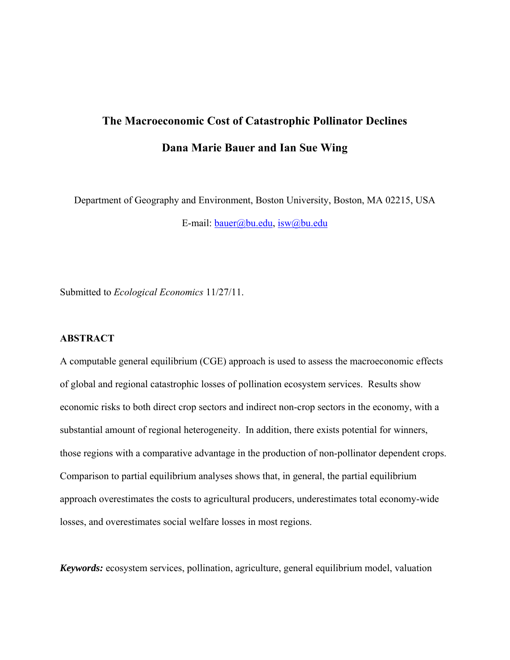# **The Macroeconomic Cost of Catastrophic Pollinator Declines Dana Marie Bauer and Ian Sue Wing**

Department of Geography and Environment, Boston University, Boston, MA 02215, USA E-mail: bauer@bu.edu, isw@bu.edu

Submitted to *Ecological Economics* 11/27/11.

# **ABSTRACT**

A computable general equilibrium (CGE) approach is used to assess the macroeconomic effects of global and regional catastrophic losses of pollination ecosystem services. Results show economic risks to both direct crop sectors and indirect non-crop sectors in the economy, with a substantial amount of regional heterogeneity. In addition, there exists potential for winners, those regions with a comparative advantage in the production of non-pollinator dependent crops. Comparison to partial equilibrium analyses shows that, in general, the partial equilibrium approach overestimates the costs to agricultural producers, underestimates total economy-wide losses, and overestimates social welfare losses in most regions.

*Keywords:* ecosystem services, pollination, agriculture, general equilibrium model, valuation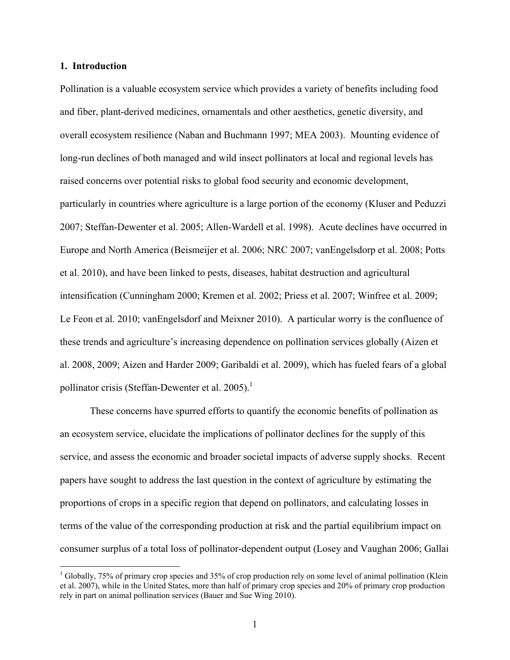#### **1. Introduction**

 $\overline{a}$ 

Pollination is a valuable ecosystem service which provides a variety of benefits including food and fiber, plant-derived medicines, ornamentals and other aesthetics, genetic diversity, and overall ecosystem resilience (Naban and Buchmann 1997; MEA 2003). Mounting evidence of long-run declines of both managed and wild insect pollinators at local and regional levels has raised concerns over potential risks to global food security and economic development, particularly in countries where agriculture is a large portion of the economy (Kluser and Peduzzi 2007; Steffan-Dewenter et al. 2005; Allen-Wardell et al. 1998). Acute declines have occurred in Europe and North America (Beismeijer et al. 2006; NRC 2007; vanEngelsdorp et al. 2008; Potts et al. 2010), and have been linked to pests, diseases, habitat destruction and agricultural intensification (Cunningham 2000; Kremen et al. 2002; Priess et al. 2007; Winfree et al. 2009; Le Feon et al. 2010; vanEngelsdorf and Meixner 2010). A particular worry is the confluence of these trends and agriculture's increasing dependence on pollination services globally (Aizen et al. 2008, 2009; Aizen and Harder 2009; Garibaldi et al. 2009), which has fueled fears of a global pollinator crisis (Steffan-Dewenter et al. 2005).<sup>1</sup>

These concerns have spurred efforts to quantify the economic benefits of pollination as an ecosystem service, elucidate the implications of pollinator declines for the supply of this service, and assess the economic and broader societal impacts of adverse supply shocks. Recent papers have sought to address the last question in the context of agriculture by estimating the proportions of crops in a specific region that depend on pollinators, and calculating losses in terms of the value of the corresponding production at risk and the partial equilibrium impact on consumer surplus of a total loss of pollinator-dependent output (Losey and Vaughan 2006; Gallai

<sup>&</sup>lt;sup>1</sup> Globally, 75% of primary crop species and 35% of crop production rely on some level of animal pollination (Klein et al. 2007), while in the United States, more than half of primary crop species and 20% of primary crop production rely in part on animal pollination services (Bauer and Sue Wing 2010).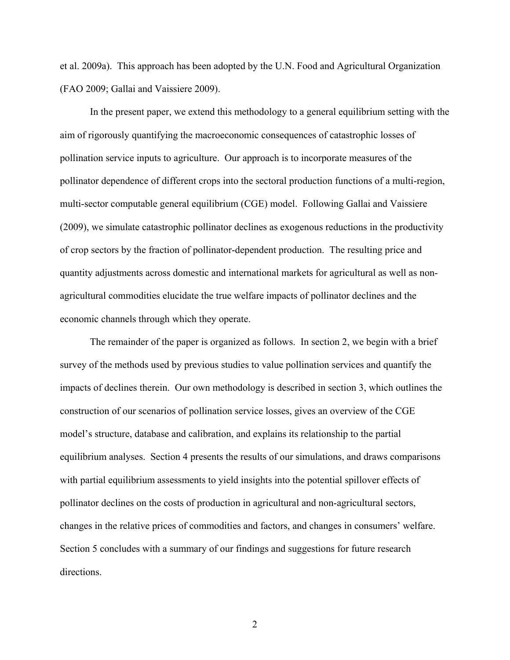et al. 2009a). This approach has been adopted by the U.N. Food and Agricultural Organization (FAO 2009; Gallai and Vaissiere 2009).

In the present paper, we extend this methodology to a general equilibrium setting with the aim of rigorously quantifying the macroeconomic consequences of catastrophic losses of pollination service inputs to agriculture. Our approach is to incorporate measures of the pollinator dependence of different crops into the sectoral production functions of a multi-region, multi-sector computable general equilibrium (CGE) model. Following Gallai and Vaissiere (2009), we simulate catastrophic pollinator declines as exogenous reductions in the productivity of crop sectors by the fraction of pollinator-dependent production. The resulting price and quantity adjustments across domestic and international markets for agricultural as well as nonagricultural commodities elucidate the true welfare impacts of pollinator declines and the economic channels through which they operate.

 The remainder of the paper is organized as follows. In section 2, we begin with a brief survey of the methods used by previous studies to value pollination services and quantify the impacts of declines therein. Our own methodology is described in section 3, which outlines the construction of our scenarios of pollination service losses, gives an overview of the CGE model's structure, database and calibration, and explains its relationship to the partial equilibrium analyses. Section 4 presents the results of our simulations, and draws comparisons with partial equilibrium assessments to yield insights into the potential spillover effects of pollinator declines on the costs of production in agricultural and non-agricultural sectors, changes in the relative prices of commodities and factors, and changes in consumers' welfare. Section 5 concludes with a summary of our findings and suggestions for future research directions.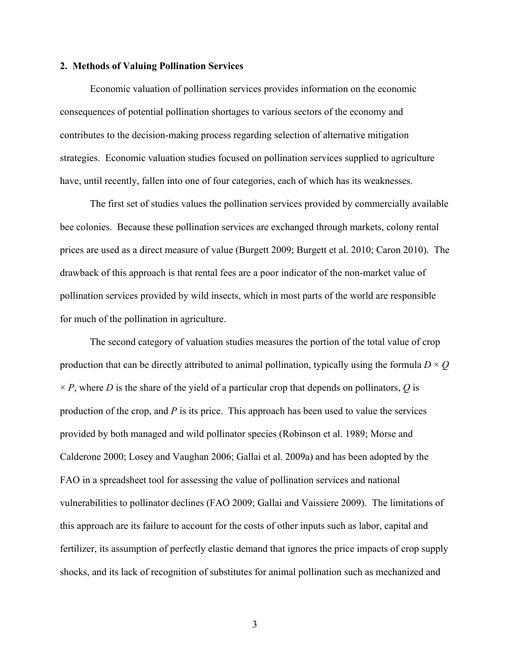#### **2. Methods of Valuing Pollination Services**

 Economic valuation of pollination services provides information on the economic consequences of potential pollination shortages to various sectors of the economy and contributes to the decision-making process regarding selection of alternative mitigation strategies. Economic valuation studies focused on pollination services supplied to agriculture have, until recently, fallen into one of four categories, each of which has its weaknesses.

The first set of studies values the pollination services provided by commercially available bee colonies. Because these pollination services are exchanged through markets, colony rental prices are used as a direct measure of value (Burgett 2009; Burgett et al. 2010; Caron 2010). The drawback of this approach is that rental fees are a poor indicator of the non-market value of pollination services provided by wild insects, which in most parts of the world are responsible for much of the pollination in agriculture.

The second category of valuation studies measures the portion of the total value of crop production that can be directly attributed to animal pollination, typically using the formula  $D \times Q$  $\times$  *P*, where *D* is the share of the yield of a particular crop that depends on pollinators, *Q* is production of the crop, and *P* is its price. This approach has been used to value the services provided by both managed and wild pollinator species (Robinson et al. 1989; Morse and Calderone 2000; Losey and Vaughan 2006; Gallai et al. 2009a) and has been adopted by the FAO in a spreadsheet tool for assessing the value of pollination services and national vulnerabilities to pollinator declines (FAO 2009; Gallai and Vaissiere 2009). The limitations of this approach are its failure to account for the costs of other inputs such as labor, capital and fertilizer, its assumption of perfectly elastic demand that ignores the price impacts of crop supply shocks, and its lack of recognition of substitutes for animal pollination such as mechanized and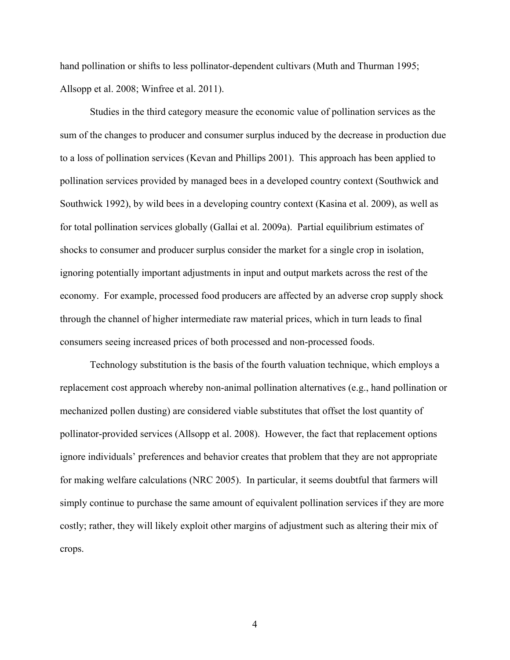hand pollination or shifts to less pollinator-dependent cultivars (Muth and Thurman 1995; Allsopp et al. 2008; Winfree et al. 2011).

Studies in the third category measure the economic value of pollination services as the sum of the changes to producer and consumer surplus induced by the decrease in production due to a loss of pollination services (Kevan and Phillips 2001). This approach has been applied to pollination services provided by managed bees in a developed country context (Southwick and Southwick 1992), by wild bees in a developing country context (Kasina et al. 2009), as well as for total pollination services globally (Gallai et al. 2009a). Partial equilibrium estimates of shocks to consumer and producer surplus consider the market for a single crop in isolation, ignoring potentially important adjustments in input and output markets across the rest of the economy. For example, processed food producers are affected by an adverse crop supply shock through the channel of higher intermediate raw material prices, which in turn leads to final consumers seeing increased prices of both processed and non-processed foods.

Technology substitution is the basis of the fourth valuation technique, which employs a replacement cost approach whereby non-animal pollination alternatives (e.g., hand pollination or mechanized pollen dusting) are considered viable substitutes that offset the lost quantity of pollinator-provided services (Allsopp et al. 2008). However, the fact that replacement options ignore individuals' preferences and behavior creates that problem that they are not appropriate for making welfare calculations (NRC 2005). In particular, it seems doubtful that farmers will simply continue to purchase the same amount of equivalent pollination services if they are more costly; rather, they will likely exploit other margins of adjustment such as altering their mix of crops.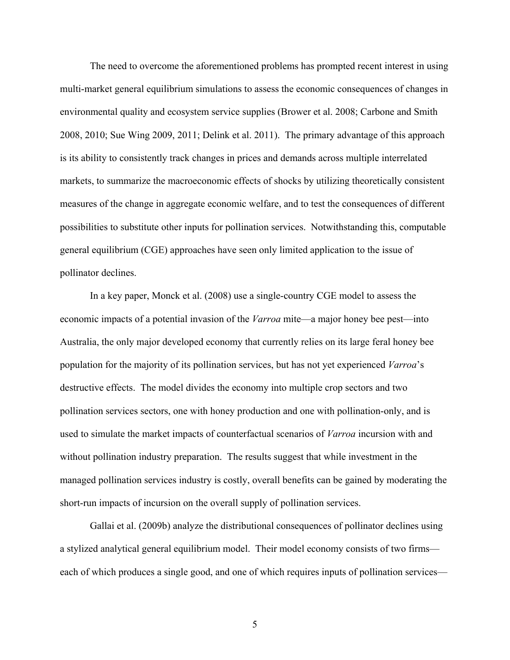The need to overcome the aforementioned problems has prompted recent interest in using multi-market general equilibrium simulations to assess the economic consequences of changes in environmental quality and ecosystem service supplies (Brower et al. 2008; Carbone and Smith 2008, 2010; Sue Wing 2009, 2011; Delink et al. 2011). The primary advantage of this approach is its ability to consistently track changes in prices and demands across multiple interrelated markets, to summarize the macroeconomic effects of shocks by utilizing theoretically consistent measures of the change in aggregate economic welfare, and to test the consequences of different possibilities to substitute other inputs for pollination services. Notwithstanding this, computable general equilibrium (CGE) approaches have seen only limited application to the issue of pollinator declines.

In a key paper, Monck et al. (2008) use a single-country CGE model to assess the economic impacts of a potential invasion of the *Varroa* mite—a major honey bee pest—into Australia, the only major developed economy that currently relies on its large feral honey bee population for the majority of its pollination services, but has not yet experienced *Varroa*'s destructive effects. The model divides the economy into multiple crop sectors and two pollination services sectors, one with honey production and one with pollination-only, and is used to simulate the market impacts of counterfactual scenarios of *Varroa* incursion with and without pollination industry preparation. The results suggest that while investment in the managed pollination services industry is costly, overall benefits can be gained by moderating the short-run impacts of incursion on the overall supply of pollination services.

Gallai et al. (2009b) analyze the distributional consequences of pollinator declines using a stylized analytical general equilibrium model. Their model economy consists of two firms each of which produces a single good, and one of which requires inputs of pollination services—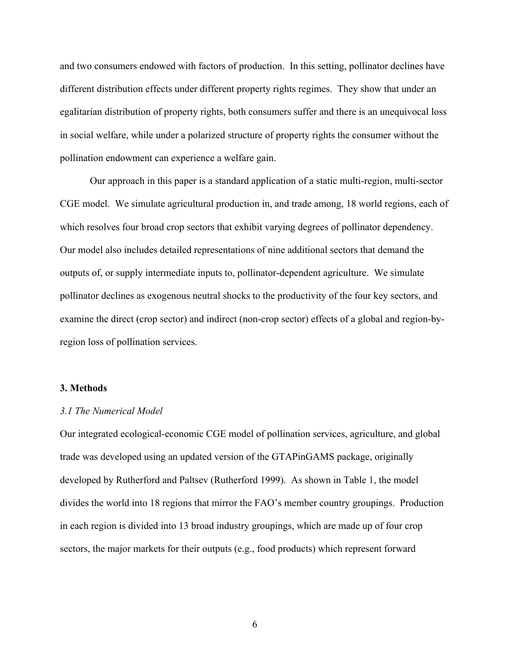and two consumers endowed with factors of production. In this setting, pollinator declines have different distribution effects under different property rights regimes. They show that under an egalitarian distribution of property rights, both consumers suffer and there is an unequivocal loss in social welfare, while under a polarized structure of property rights the consumer without the pollination endowment can experience a welfare gain.

Our approach in this paper is a standard application of a static multi-region, multi-sector CGE model. We simulate agricultural production in, and trade among, 18 world regions, each of which resolves four broad crop sectors that exhibit varying degrees of pollinator dependency. Our model also includes detailed representations of nine additional sectors that demand the outputs of, or supply intermediate inputs to, pollinator-dependent agriculture. We simulate pollinator declines as exogenous neutral shocks to the productivity of the four key sectors, and examine the direct (crop sector) and indirect (non-crop sector) effects of a global and region-byregion loss of pollination services.

#### **3. Methods**

#### *3.1 The Numerical Model*

Our integrated ecological-economic CGE model of pollination services, agriculture, and global trade was developed using an updated version of the GTAPinGAMS package, originally developed by Rutherford and Paltsev (Rutherford 1999). As shown in Table 1, the model divides the world into 18 regions that mirror the FAO's member country groupings. Production in each region is divided into 13 broad industry groupings, which are made up of four crop sectors, the major markets for their outputs (e.g., food products) which represent forward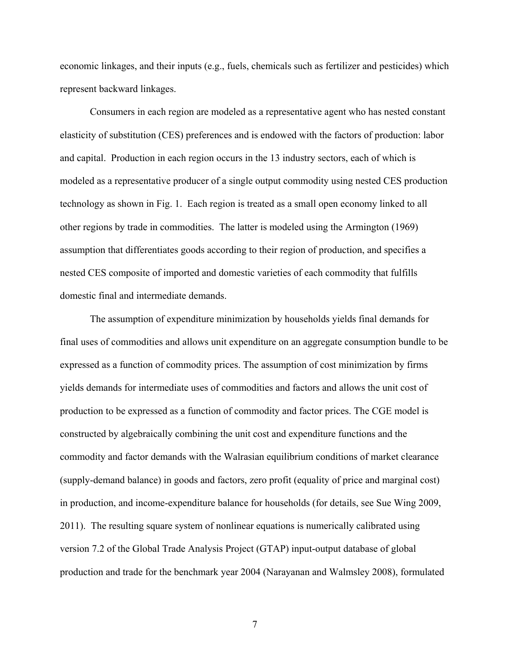economic linkages, and their inputs (e.g., fuels, chemicals such as fertilizer and pesticides) which represent backward linkages.

Consumers in each region are modeled as a representative agent who has nested constant elasticity of substitution (CES) preferences and is endowed with the factors of production: labor and capital. Production in each region occurs in the 13 industry sectors, each of which is modeled as a representative producer of a single output commodity using nested CES production technology as shown in Fig. 1. Each region is treated as a small open economy linked to all other regions by trade in commodities. The latter is modeled using the Armington (1969) assumption that differentiates goods according to their region of production, and specifies a nested CES composite of imported and domestic varieties of each commodity that fulfills domestic final and intermediate demands.

The assumption of expenditure minimization by households yields final demands for final uses of commodities and allows unit expenditure on an aggregate consumption bundle to be expressed as a function of commodity prices. The assumption of cost minimization by firms yields demands for intermediate uses of commodities and factors and allows the unit cost of production to be expressed as a function of commodity and factor prices. The CGE model is constructed by algebraically combining the unit cost and expenditure functions and the commodity and factor demands with the Walrasian equilibrium conditions of market clearance (supply-demand balance) in goods and factors, zero profit (equality of price and marginal cost) in production, and income-expenditure balance for households (for details, see Sue Wing 2009, 2011). The resulting square system of nonlinear equations is numerically calibrated using version 7.2 of the Global Trade Analysis Project (GTAP) input-output database of global production and trade for the benchmark year 2004 (Narayanan and Walmsley 2008), formulated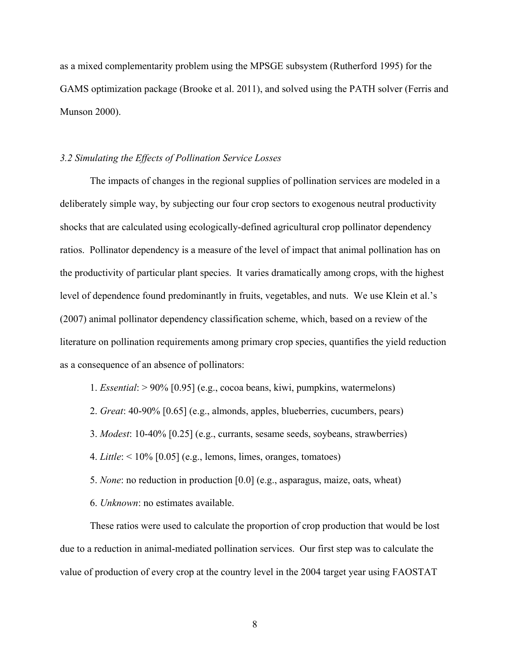as a mixed complementarity problem using the MPSGE subsystem (Rutherford 1995) for the GAMS optimization package (Brooke et al. 2011), and solved using the PATH solver (Ferris and Munson 2000).

### *3.2 Simulating the Effects of Pollination Service Losses*

 The impacts of changes in the regional supplies of pollination services are modeled in a deliberately simple way, by subjecting our four crop sectors to exogenous neutral productivity shocks that are calculated using ecologically-defined agricultural crop pollinator dependency ratios. Pollinator dependency is a measure of the level of impact that animal pollination has on the productivity of particular plant species. It varies dramatically among crops, with the highest level of dependence found predominantly in fruits, vegetables, and nuts. We use Klein et al.'s (2007) animal pollinator dependency classification scheme, which, based on a review of the literature on pollination requirements among primary crop species, quantifies the yield reduction as a consequence of an absence of pollinators:

- 1. *Essential*: > 90% [0.95] (e.g., cocoa beans, kiwi, pumpkins, watermelons)
- 2. *Great*: 40-90% [0.65] (e.g., almonds, apples, blueberries, cucumbers, pears)
- 3. *Modest*: 10-40% [0.25] (e.g., currants, sesame seeds, soybeans, strawberries)
- 4. *Little*: < 10% [0.05] (e.g., lemons, limes, oranges, tomatoes)
- 5. *None*: no reduction in production [0.0] (e.g., asparagus, maize, oats, wheat)
- 6. *Unknown*: no estimates available.

These ratios were used to calculate the proportion of crop production that would be lost due to a reduction in animal-mediated pollination services. Our first step was to calculate the value of production of every crop at the country level in the 2004 target year using FAOSTAT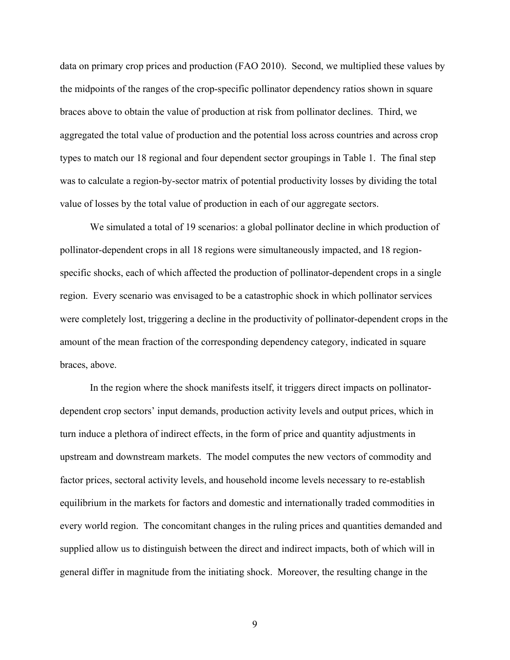data on primary crop prices and production (FAO 2010). Second, we multiplied these values by the midpoints of the ranges of the crop-specific pollinator dependency ratios shown in square braces above to obtain the value of production at risk from pollinator declines. Third, we aggregated the total value of production and the potential loss across countries and across crop types to match our 18 regional and four dependent sector groupings in Table 1. The final step was to calculate a region-by-sector matrix of potential productivity losses by dividing the total value of losses by the total value of production in each of our aggregate sectors.

We simulated a total of 19 scenarios: a global pollinator decline in which production of pollinator-dependent crops in all 18 regions were simultaneously impacted, and 18 regionspecific shocks, each of which affected the production of pollinator-dependent crops in a single region. Every scenario was envisaged to be a catastrophic shock in which pollinator services were completely lost, triggering a decline in the productivity of pollinator-dependent crops in the amount of the mean fraction of the corresponding dependency category, indicated in square braces, above.

In the region where the shock manifests itself, it triggers direct impacts on pollinatordependent crop sectors' input demands, production activity levels and output prices, which in turn induce a plethora of indirect effects, in the form of price and quantity adjustments in upstream and downstream markets. The model computes the new vectors of commodity and factor prices, sectoral activity levels, and household income levels necessary to re-establish equilibrium in the markets for factors and domestic and internationally traded commodities in every world region. The concomitant changes in the ruling prices and quantities demanded and supplied allow us to distinguish between the direct and indirect impacts, both of which will in general differ in magnitude from the initiating shock. Moreover, the resulting change in the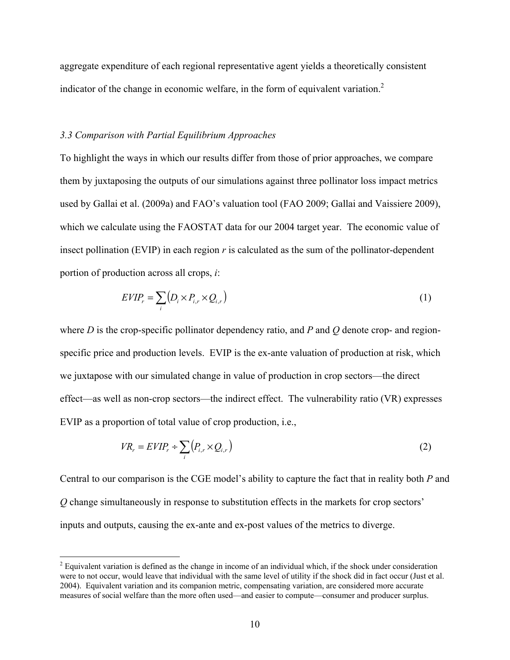aggregate expenditure of each regional representative agent yields a theoretically consistent indicator of the change in economic welfare, in the form of equivalent variation.<sup>2</sup>

## *3.3 Comparison with Partial Equilibrium Approaches*

 $\overline{a}$ 

To highlight the ways in which our results differ from those of prior approaches, we compare them by juxtaposing the outputs of our simulations against three pollinator loss impact metrics used by Gallai et al. (2009a) and FAO's valuation tool (FAO 2009; Gallai and Vaissiere 2009), which we calculate using the FAOSTAT data for our 2004 target year. The economic value of insect pollination (EVIP) in each region *r* is calculated as the sum of the pollinator-dependent portion of production across all crops, *i*:

$$
EVIP_r = \sum_i (D_i \times P_{i,r} \times Q_{i,r})
$$
\n(1)

where *D* is the crop-specific pollinator dependency ratio, and *P* and *Q* denote crop- and regionspecific price and production levels. EVIP is the ex-ante valuation of production at risk, which we juxtapose with our simulated change in value of production in crop sectors—the direct effect—as well as non-crop sectors—the indirect effect. The vulnerability ratio (VR) expresses EVIP as a proportion of total value of crop production, i.e.,

$$
VR_r = EVIP_r + \sum_{i} \left( P_{i,r} \times Q_{i,r} \right) \tag{2}
$$

Central to our comparison is the CGE model's ability to capture the fact that in reality both *P* and *Q* change simultaneously in response to substitution effects in the markets for crop sectors' inputs and outputs, causing the ex-ante and ex-post values of the metrics to diverge.

 $2^{2}$  Equivalent variation is defined as the change in income of an individual which, if the shock under consideration were to not occur, would leave that individual with the same level of utility if the shock did in fact occur (Just et al. 2004). Equivalent variation and its companion metric, compensating variation, are considered more accurate measures of social welfare than the more often used—and easier to compute—consumer and producer surplus.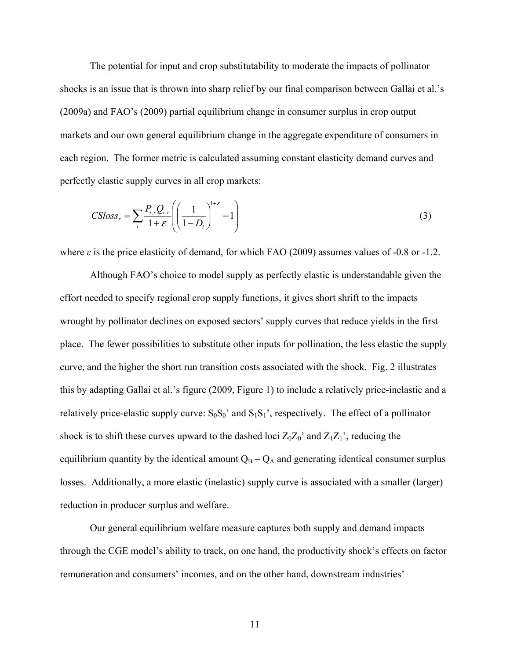The potential for input and crop substitutability to moderate the impacts of pollinator shocks is an issue that is thrown into sharp relief by our final comparison between Gallai et al.'s (2009a) and FAO's (2009) partial equilibrium change in consumer surplus in crop output markets and our own general equilibrium change in the aggregate expenditure of consumers in each region. The former metric is calculated assuming constant elasticity demand curves and perfectly elastic supply curves in all crop markets:

$$
CSloss_r = \sum_{i} \frac{P_{i,r} Q_{i,r}}{1+\varepsilon} \left( \left( \frac{1}{1-D_i} \right)^{1+\varepsilon} - 1 \right)
$$
 (3)

where  $\varepsilon$  is the price elasticity of demand, for which FAO (2009) assumes values of -0.8 or -1.2.

Although FAO's choice to model supply as perfectly elastic is understandable given the effort needed to specify regional crop supply functions, it gives short shrift to the impacts wrought by pollinator declines on exposed sectors' supply curves that reduce yields in the first place. The fewer possibilities to substitute other inputs for pollination, the less elastic the supply curve, and the higher the short run transition costs associated with the shock. Fig. 2 illustrates this by adapting Gallai et al.'s figure (2009, Figure 1) to include a relatively price-inelastic and a relatively price-elastic supply curve:  $S_0S_0$ ' and  $S_1S_1$ ', respectively. The effect of a pollinator shock is to shift these curves upward to the dashed loci  $Z_0Z_0$ ' and  $Z_1Z_1$ ', reducing the equilibrium quantity by the identical amount  $Q_B - Q_A$  and generating identical consumer surplus losses. Additionally, a more elastic (inelastic) supply curve is associated with a smaller (larger) reduction in producer surplus and welfare.

Our general equilibrium welfare measure captures both supply and demand impacts through the CGE model's ability to track, on one hand, the productivity shock's effects on factor remuneration and consumers' incomes, and on the other hand, downstream industries'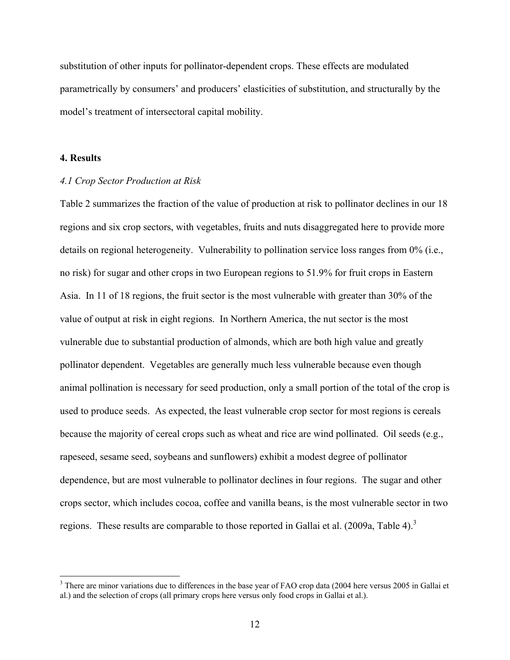substitution of other inputs for pollinator-dependent crops. These effects are modulated parametrically by consumers' and producers' elasticities of substitution, and structurally by the model's treatment of intersectoral capital mobility.

# **4. Results**

#### *4.1 Crop Sector Production at Risk*

Table 2 summarizes the fraction of the value of production at risk to pollinator declines in our 18 regions and six crop sectors, with vegetables, fruits and nuts disaggregated here to provide more details on regional heterogeneity. Vulnerability to pollination service loss ranges from 0% (i.e., no risk) for sugar and other crops in two European regions to 51.9% for fruit crops in Eastern Asia. In 11 of 18 regions, the fruit sector is the most vulnerable with greater than 30% of the value of output at risk in eight regions. In Northern America, the nut sector is the most vulnerable due to substantial production of almonds, which are both high value and greatly pollinator dependent. Vegetables are generally much less vulnerable because even though animal pollination is necessary for seed production, only a small portion of the total of the crop is used to produce seeds. As expected, the least vulnerable crop sector for most regions is cereals because the majority of cereal crops such as wheat and rice are wind pollinated. Oil seeds (e.g., rapeseed, sesame seed, soybeans and sunflowers) exhibit a modest degree of pollinator dependence, but are most vulnerable to pollinator declines in four regions. The sugar and other crops sector, which includes cocoa, coffee and vanilla beans, is the most vulnerable sector in two regions. These results are comparable to those reported in Gallai et al. (2009a, Table 4).<sup>3</sup>

<sup>&</sup>lt;sup>3</sup> There are minor variations due to differences in the base year of FAO crop data (2004 here versus 2005 in Gallai et al.) and the selection of crops (all primary crops here versus only food crops in Gallai et al.).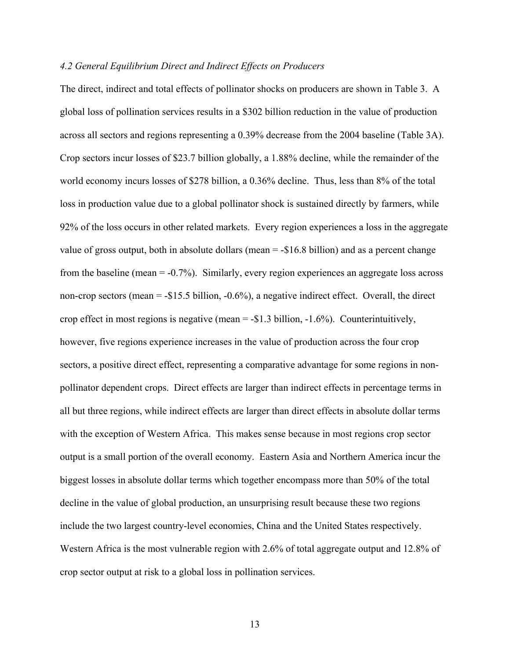#### *4.2 General Equilibrium Direct and Indirect Effects on Producers*

The direct, indirect and total effects of pollinator shocks on producers are shown in Table 3. A global loss of pollination services results in a \$302 billion reduction in the value of production across all sectors and regions representing a 0.39% decrease from the 2004 baseline (Table 3A). Crop sectors incur losses of \$23.7 billion globally, a 1.88% decline, while the remainder of the world economy incurs losses of \$278 billion, a 0.36% decline. Thus, less than 8% of the total loss in production value due to a global pollinator shock is sustained directly by farmers, while 92% of the loss occurs in other related markets. Every region experiences a loss in the aggregate value of gross output, both in absolute dollars (mean = -\$16.8 billion) and as a percent change from the baseline (mean = -0.7%). Similarly, every region experiences an aggregate loss across non-crop sectors (mean = -\$15.5 billion, -0.6%), a negative indirect effect. Overall, the direct crop effect in most regions is negative (mean = -\$1.3 billion, -1.6%). Counterintuitively, however, five regions experience increases in the value of production across the four crop sectors, a positive direct effect, representing a comparative advantage for some regions in nonpollinator dependent crops. Direct effects are larger than indirect effects in percentage terms in all but three regions, while indirect effects are larger than direct effects in absolute dollar terms with the exception of Western Africa. This makes sense because in most regions crop sector output is a small portion of the overall economy. Eastern Asia and Northern America incur the biggest losses in absolute dollar terms which together encompass more than 50% of the total decline in the value of global production, an unsurprising result because these two regions include the two largest country-level economies, China and the United States respectively. Western Africa is the most vulnerable region with 2.6% of total aggregate output and 12.8% of crop sector output at risk to a global loss in pollination services.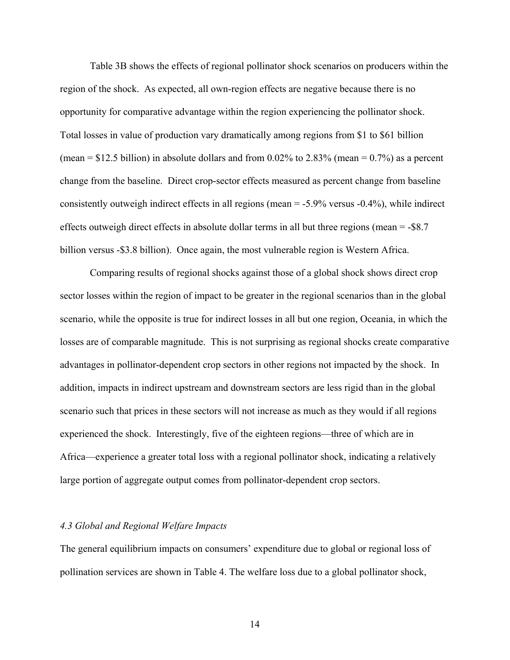Table 3B shows the effects of regional pollinator shock scenarios on producers within the region of the shock. As expected, all own-region effects are negative because there is no opportunity for comparative advantage within the region experiencing the pollinator shock. Total losses in value of production vary dramatically among regions from \$1 to \$61 billion (mean =  $$12.5$  billion) in absolute dollars and from 0.02% to 2.83% (mean = 0.7%) as a percent change from the baseline. Direct crop-sector effects measured as percent change from baseline consistently outweigh indirect effects in all regions (mean = -5.9% versus -0.4%), while indirect effects outweigh direct effects in absolute dollar terms in all but three regions (mean = -\$8.7 billion versus -\$3.8 billion). Once again, the most vulnerable region is Western Africa.

 Comparing results of regional shocks against those of a global shock shows direct crop sector losses within the region of impact to be greater in the regional scenarios than in the global scenario, while the opposite is true for indirect losses in all but one region, Oceania, in which the losses are of comparable magnitude. This is not surprising as regional shocks create comparative advantages in pollinator-dependent crop sectors in other regions not impacted by the shock. In addition, impacts in indirect upstream and downstream sectors are less rigid than in the global scenario such that prices in these sectors will not increase as much as they would if all regions experienced the shock. Interestingly, five of the eighteen regions—three of which are in Africa—experience a greater total loss with a regional pollinator shock, indicating a relatively large portion of aggregate output comes from pollinator-dependent crop sectors.

# *4.3 Global and Regional Welfare Impacts*

The general equilibrium impacts on consumers' expenditure due to global or regional loss of pollination services are shown in Table 4. The welfare loss due to a global pollinator shock,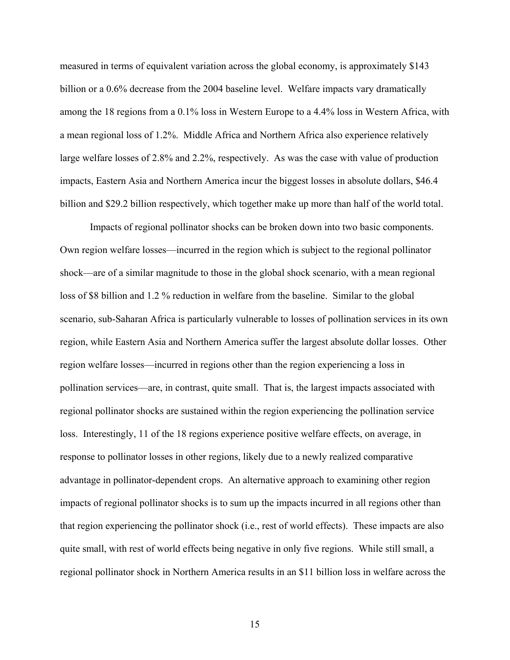measured in terms of equivalent variation across the global economy, is approximately \$143 billion or a 0.6% decrease from the 2004 baseline level. Welfare impacts vary dramatically among the 18 regions from a 0.1% loss in Western Europe to a 4.4% loss in Western Africa, with a mean regional loss of 1.2%. Middle Africa and Northern Africa also experience relatively large welfare losses of 2.8% and 2.2%, respectively. As was the case with value of production impacts, Eastern Asia and Northern America incur the biggest losses in absolute dollars, \$46.4 billion and \$29.2 billion respectively, which together make up more than half of the world total.

 Impacts of regional pollinator shocks can be broken down into two basic components. Own region welfare losses—incurred in the region which is subject to the regional pollinator shock—are of a similar magnitude to those in the global shock scenario, with a mean regional loss of \$8 billion and 1.2 % reduction in welfare from the baseline. Similar to the global scenario, sub-Saharan Africa is particularly vulnerable to losses of pollination services in its own region, while Eastern Asia and Northern America suffer the largest absolute dollar losses. Other region welfare losses—incurred in regions other than the region experiencing a loss in pollination services—are, in contrast, quite small. That is, the largest impacts associated with regional pollinator shocks are sustained within the region experiencing the pollination service loss. Interestingly, 11 of the 18 regions experience positive welfare effects, on average, in response to pollinator losses in other regions, likely due to a newly realized comparative advantage in pollinator-dependent crops. An alternative approach to examining other region impacts of regional pollinator shocks is to sum up the impacts incurred in all regions other than that region experiencing the pollinator shock (i.e., rest of world effects). These impacts are also quite small, with rest of world effects being negative in only five regions. While still small, a regional pollinator shock in Northern America results in an \$11 billion loss in welfare across the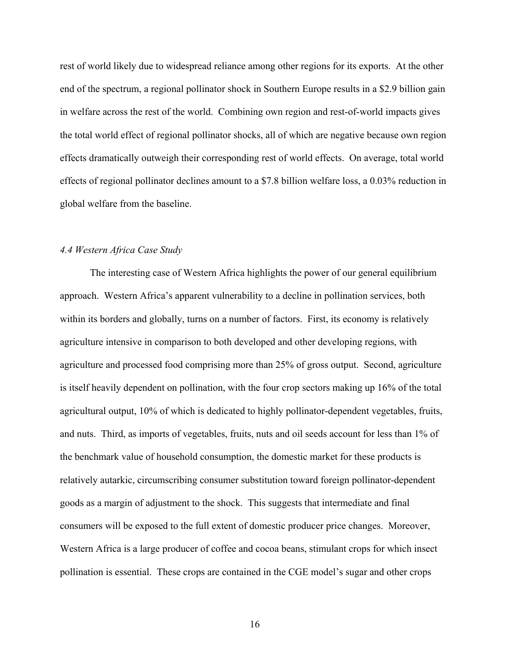rest of world likely due to widespread reliance among other regions for its exports. At the other end of the spectrum, a regional pollinator shock in Southern Europe results in a \$2.9 billion gain in welfare across the rest of the world. Combining own region and rest-of-world impacts gives the total world effect of regional pollinator shocks, all of which are negative because own region effects dramatically outweigh their corresponding rest of world effects. On average, total world effects of regional pollinator declines amount to a \$7.8 billion welfare loss, a 0.03% reduction in global welfare from the baseline.

# *4.4 Western Africa Case Study*

The interesting case of Western Africa highlights the power of our general equilibrium approach. Western Africa's apparent vulnerability to a decline in pollination services, both within its borders and globally, turns on a number of factors. First, its economy is relatively agriculture intensive in comparison to both developed and other developing regions, with agriculture and processed food comprising more than 25% of gross output. Second, agriculture is itself heavily dependent on pollination, with the four crop sectors making up 16% of the total agricultural output, 10% of which is dedicated to highly pollinator-dependent vegetables, fruits, and nuts. Third, as imports of vegetables, fruits, nuts and oil seeds account for less than 1% of the benchmark value of household consumption, the domestic market for these products is relatively autarkic, circumscribing consumer substitution toward foreign pollinator-dependent goods as a margin of adjustment to the shock. This suggests that intermediate and final consumers will be exposed to the full extent of domestic producer price changes. Moreover, Western Africa is a large producer of coffee and cocoa beans, stimulant crops for which insect pollination is essential. These crops are contained in the CGE model's sugar and other crops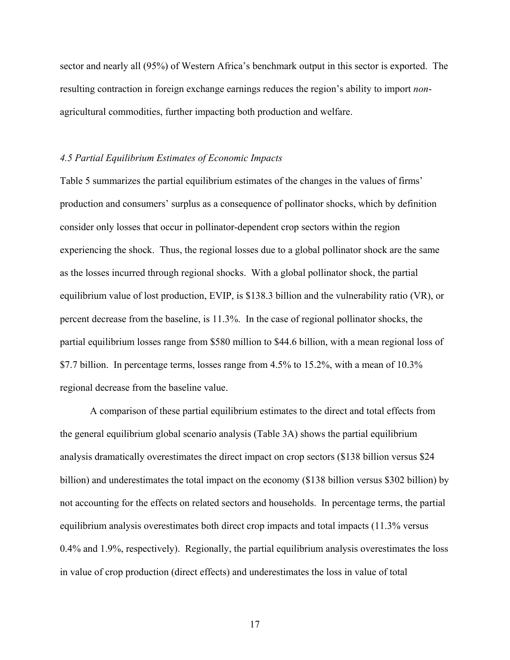sector and nearly all (95%) of Western Africa's benchmark output in this sector is exported. The resulting contraction in foreign exchange earnings reduces the region's ability to import *non*agricultural commodities, further impacting both production and welfare.

#### *4.5 Partial Equilibrium Estimates of Economic Impacts*

Table 5 summarizes the partial equilibrium estimates of the changes in the values of firms' production and consumers' surplus as a consequence of pollinator shocks, which by definition consider only losses that occur in pollinator-dependent crop sectors within the region experiencing the shock. Thus, the regional losses due to a global pollinator shock are the same as the losses incurred through regional shocks. With a global pollinator shock, the partial equilibrium value of lost production, EVIP, is \$138.3 billion and the vulnerability ratio (VR), or percent decrease from the baseline, is 11.3%. In the case of regional pollinator shocks, the partial equilibrium losses range from \$580 million to \$44.6 billion, with a mean regional loss of \$7.7 billion. In percentage terms, losses range from 4.5% to 15.2%, with a mean of 10.3% regional decrease from the baseline value.

 A comparison of these partial equilibrium estimates to the direct and total effects from the general equilibrium global scenario analysis (Table 3A) shows the partial equilibrium analysis dramatically overestimates the direct impact on crop sectors (\$138 billion versus \$24 billion) and underestimates the total impact on the economy (\$138 billion versus \$302 billion) by not accounting for the effects on related sectors and households. In percentage terms, the partial equilibrium analysis overestimates both direct crop impacts and total impacts (11.3% versus 0.4% and 1.9%, respectively). Regionally, the partial equilibrium analysis overestimates the loss in value of crop production (direct effects) and underestimates the loss in value of total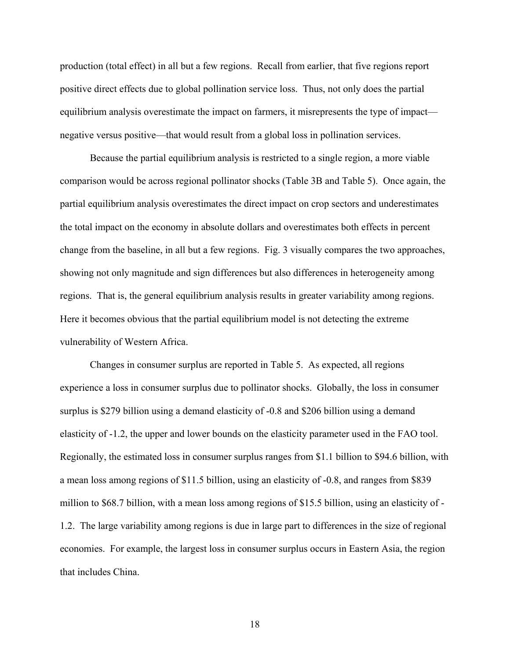production (total effect) in all but a few regions. Recall from earlier, that five regions report positive direct effects due to global pollination service loss. Thus, not only does the partial equilibrium analysis overestimate the impact on farmers, it misrepresents the type of impact negative versus positive—that would result from a global loss in pollination services.

 Because the partial equilibrium analysis is restricted to a single region, a more viable comparison would be across regional pollinator shocks (Table 3B and Table 5). Once again, the partial equilibrium analysis overestimates the direct impact on crop sectors and underestimates the total impact on the economy in absolute dollars and overestimates both effects in percent change from the baseline, in all but a few regions. Fig. 3 visually compares the two approaches, showing not only magnitude and sign differences but also differences in heterogeneity among regions. That is, the general equilibrium analysis results in greater variability among regions. Here it becomes obvious that the partial equilibrium model is not detecting the extreme vulnerability of Western Africa.

 Changes in consumer surplus are reported in Table 5. As expected, all regions experience a loss in consumer surplus due to pollinator shocks. Globally, the loss in consumer surplus is \$279 billion using a demand elasticity of -0.8 and \$206 billion using a demand elasticity of -1.2, the upper and lower bounds on the elasticity parameter used in the FAO tool. Regionally, the estimated loss in consumer surplus ranges from \$1.1 billion to \$94.6 billion, with a mean loss among regions of \$11.5 billion, using an elasticity of -0.8, and ranges from \$839 million to \$68.7 billion, with a mean loss among regions of \$15.5 billion, using an elasticity of - 1.2. The large variability among regions is due in large part to differences in the size of regional economies. For example, the largest loss in consumer surplus occurs in Eastern Asia, the region that includes China.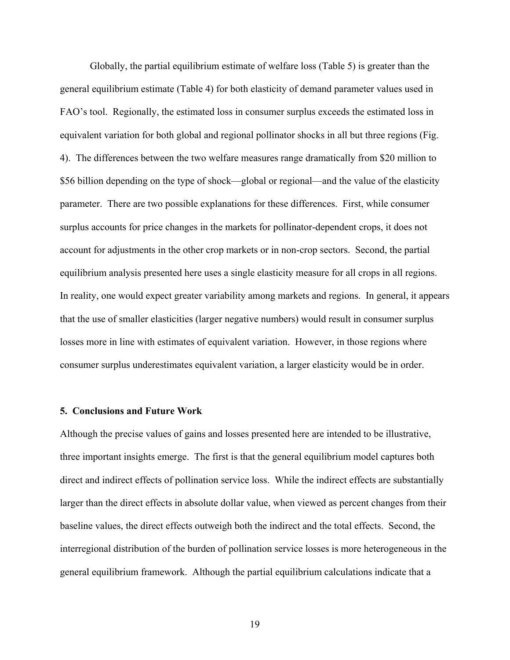Globally, the partial equilibrium estimate of welfare loss (Table 5) is greater than the general equilibrium estimate (Table 4) for both elasticity of demand parameter values used in FAO's tool. Regionally, the estimated loss in consumer surplus exceeds the estimated loss in equivalent variation for both global and regional pollinator shocks in all but three regions (Fig. 4). The differences between the two welfare measures range dramatically from \$20 million to \$56 billion depending on the type of shock—global or regional—and the value of the elasticity parameter. There are two possible explanations for these differences. First, while consumer surplus accounts for price changes in the markets for pollinator-dependent crops, it does not account for adjustments in the other crop markets or in non-crop sectors. Second, the partial equilibrium analysis presented here uses a single elasticity measure for all crops in all regions. In reality, one would expect greater variability among markets and regions. In general, it appears that the use of smaller elasticities (larger negative numbers) would result in consumer surplus losses more in line with estimates of equivalent variation. However, in those regions where consumer surplus underestimates equivalent variation, a larger elasticity would be in order.

#### **5. Conclusions and Future Work**

Although the precise values of gains and losses presented here are intended to be illustrative, three important insights emerge. The first is that the general equilibrium model captures both direct and indirect effects of pollination service loss. While the indirect effects are substantially larger than the direct effects in absolute dollar value, when viewed as percent changes from their baseline values, the direct effects outweigh both the indirect and the total effects. Second, the interregional distribution of the burden of pollination service losses is more heterogeneous in the general equilibrium framework. Although the partial equilibrium calculations indicate that a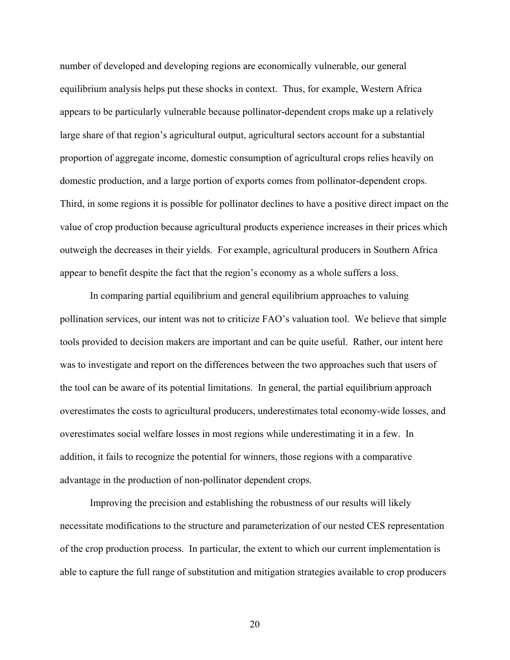number of developed and developing regions are economically vulnerable, our general equilibrium analysis helps put these shocks in context. Thus, for example, Western Africa appears to be particularly vulnerable because pollinator-dependent crops make up a relatively large share of that region's agricultural output, agricultural sectors account for a substantial proportion of aggregate income, domestic consumption of agricultural crops relies heavily on domestic production, and a large portion of exports comes from pollinator-dependent crops. Third, in some regions it is possible for pollinator declines to have a positive direct impact on the value of crop production because agricultural products experience increases in their prices which outweigh the decreases in their yields. For example, agricultural producers in Southern Africa appear to benefit despite the fact that the region's economy as a whole suffers a loss.

 In comparing partial equilibrium and general equilibrium approaches to valuing pollination services, our intent was not to criticize FAO's valuation tool. We believe that simple tools provided to decision makers are important and can be quite useful. Rather, our intent here was to investigate and report on the differences between the two approaches such that users of the tool can be aware of its potential limitations. In general, the partial equilibrium approach overestimates the costs to agricultural producers, underestimates total economy-wide losses, and overestimates social welfare losses in most regions while underestimating it in a few. In addition, it fails to recognize the potential for winners, those regions with a comparative advantage in the production of non-pollinator dependent crops.

 Improving the precision and establishing the robustness of our results will likely necessitate modifications to the structure and parameterization of our nested CES representation of the crop production process. In particular, the extent to which our current implementation is able to capture the full range of substitution and mitigation strategies available to crop producers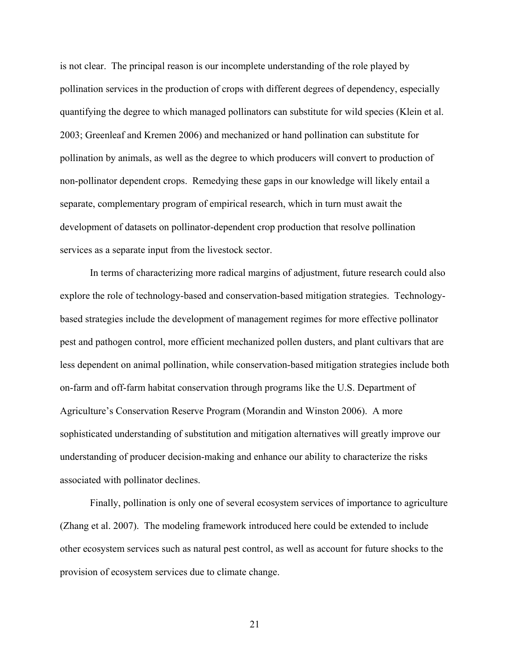is not clear. The principal reason is our incomplete understanding of the role played by pollination services in the production of crops with different degrees of dependency, especially quantifying the degree to which managed pollinators can substitute for wild species (Klein et al. 2003; Greenleaf and Kremen 2006) and mechanized or hand pollination can substitute for pollination by animals, as well as the degree to which producers will convert to production of non-pollinator dependent crops. Remedying these gaps in our knowledge will likely entail a separate, complementary program of empirical research, which in turn must await the development of datasets on pollinator-dependent crop production that resolve pollination services as a separate input from the livestock sector.

 In terms of characterizing more radical margins of adjustment, future research could also explore the role of technology-based and conservation-based mitigation strategies. Technologybased strategies include the development of management regimes for more effective pollinator pest and pathogen control, more efficient mechanized pollen dusters, and plant cultivars that are less dependent on animal pollination, while conservation-based mitigation strategies include both on-farm and off-farm habitat conservation through programs like the U.S. Department of Agriculture's Conservation Reserve Program (Morandin and Winston 2006). A more sophisticated understanding of substitution and mitigation alternatives will greatly improve our understanding of producer decision-making and enhance our ability to characterize the risks associated with pollinator declines.

 Finally, pollination is only one of several ecosystem services of importance to agriculture (Zhang et al. 2007). The modeling framework introduced here could be extended to include other ecosystem services such as natural pest control, as well as account for future shocks to the provision of ecosystem services due to climate change.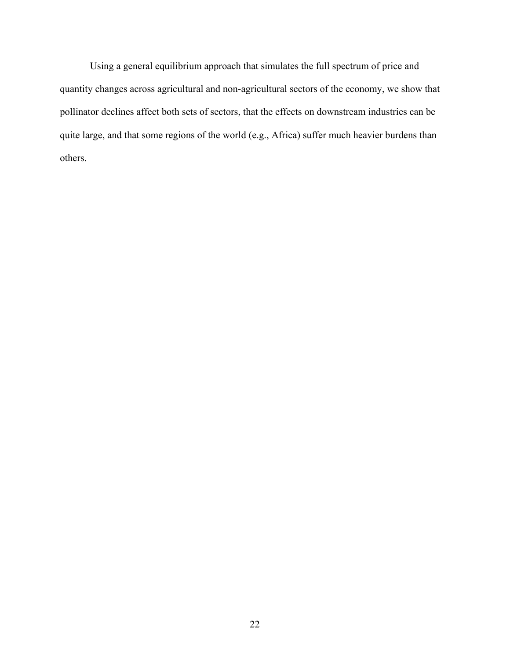Using a general equilibrium approach that simulates the full spectrum of price and quantity changes across agricultural and non-agricultural sectors of the economy, we show that pollinator declines affect both sets of sectors, that the effects on downstream industries can be quite large, and that some regions of the world (e.g., Africa) suffer much heavier burdens than others.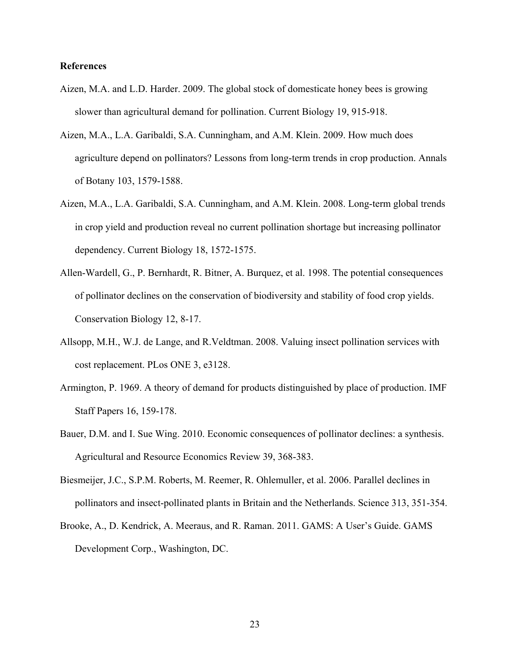## **References**

- Aizen, M.A. and L.D. Harder. 2009. The global stock of domesticate honey bees is growing slower than agricultural demand for pollination. Current Biology 19, 915-918.
- Aizen, M.A., L.A. Garibaldi, S.A. Cunningham, and A.M. Klein. 2009. How much does agriculture depend on pollinators? Lessons from long-term trends in crop production. Annals of Botany 103, 1579-1588.
- Aizen, M.A., L.A. Garibaldi, S.A. Cunningham, and A.M. Klein. 2008. Long-term global trends in crop yield and production reveal no current pollination shortage but increasing pollinator dependency. Current Biology 18, 1572-1575.
- Allen-Wardell, G., P. Bernhardt, R. Bitner, A. Burquez, et al. 1998. The potential consequences of pollinator declines on the conservation of biodiversity and stability of food crop yields. Conservation Biology 12, 8-17.
- Allsopp, M.H., W.J. de Lange, and R.Veldtman. 2008. Valuing insect pollination services with cost replacement. PLos ONE 3, e3128.
- Armington, P. 1969. A theory of demand for products distinguished by place of production. IMF Staff Papers 16, 159-178.
- Bauer, D.M. and I. Sue Wing. 2010. Economic consequences of pollinator declines: a synthesis. Agricultural and Resource Economics Review 39, 368-383.
- Biesmeijer, J.C., S.P.M. Roberts, M. Reemer, R. Ohlemuller, et al. 2006. Parallel declines in pollinators and insect-pollinated plants in Britain and the Netherlands. Science 313, 351-354.
- Brooke, A., D. Kendrick, A. Meeraus, and R. Raman. 2011. GAMS: A User's Guide. GAMS Development Corp., Washington, DC.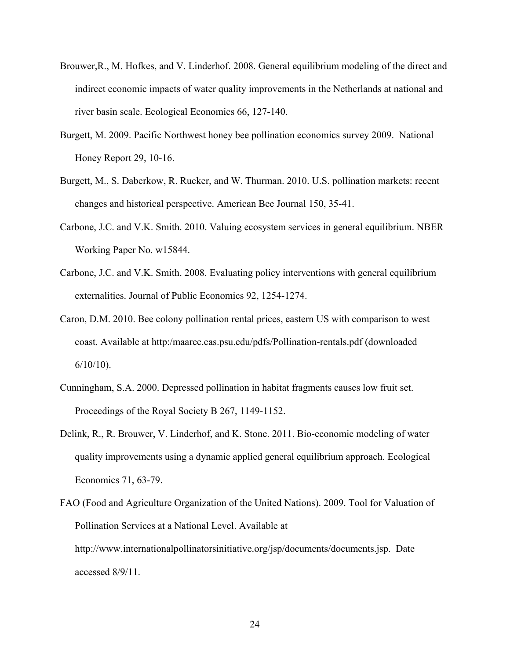- Brouwer,R., M. Hofkes, and V. Linderhof. 2008. General equilibrium modeling of the direct and indirect economic impacts of water quality improvements in the Netherlands at national and river basin scale. Ecological Economics 66, 127-140.
- Burgett, M. 2009. Pacific Northwest honey bee pollination economics survey 2009. National Honey Report 29, 10-16.
- Burgett, M., S. Daberkow, R. Rucker, and W. Thurman. 2010. U.S. pollination markets: recent changes and historical perspective. American Bee Journal 150, 35-41.
- Carbone, J.C. and V.K. Smith. 2010. Valuing ecosystem services in general equilibrium. NBER Working Paper No. w15844.
- Carbone, J.C. and V.K. Smith. 2008. Evaluating policy interventions with general equilibrium externalities. Journal of Public Economics 92, 1254-1274.
- Caron, D.M. 2010. Bee colony pollination rental prices, eastern US with comparison to west coast. Available at http:/maarec.cas.psu.edu/pdfs/Pollination-rentals.pdf (downloaded  $6/10/10$ ).
- Cunningham, S.A. 2000. Depressed pollination in habitat fragments causes low fruit set. Proceedings of the Royal Society B 267, 1149-1152.
- Delink, R., R. Brouwer, V. Linderhof, and K. Stone. 2011. Bio-economic modeling of water quality improvements using a dynamic applied general equilibrium approach. Ecological Economics 71, 63-79.
- FAO (Food and Agriculture Organization of the United Nations). 2009. Tool for Valuation of Pollination Services at a National Level. Available at http://www.internationalpollinatorsinitiative.org/jsp/documents/documents.jsp. Date accessed 8/9/11.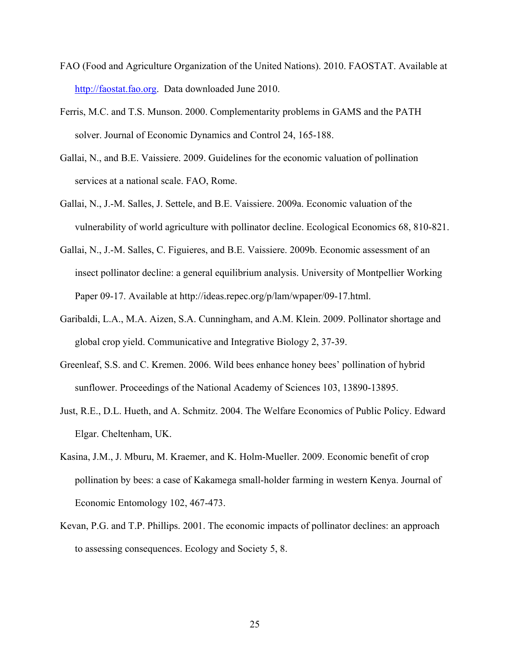- FAO (Food and Agriculture Organization of the United Nations). 2010. FAOSTAT. Available at http://faostat.fao.org. Data downloaded June 2010.
- Ferris, M.C. and T.S. Munson. 2000. Complementarity problems in GAMS and the PATH solver. Journal of Economic Dynamics and Control 24, 165-188.
- Gallai, N., and B.E. Vaissiere. 2009. Guidelines for the economic valuation of pollination services at a national scale. FAO, Rome.
- Gallai, N., J.-M. Salles, J. Settele, and B.E. Vaissiere. 2009a. Economic valuation of the vulnerability of world agriculture with pollinator decline. Ecological Economics 68, 810-821.
- Gallai, N., J.-M. Salles, C. Figuieres, and B.E. Vaissiere. 2009b. Economic assessment of an insect pollinator decline: a general equilibrium analysis. University of Montpellier Working Paper 09-17. Available at http://ideas.repec.org/p/lam/wpaper/09-17.html.
- Garibaldi, L.A., M.A. Aizen, S.A. Cunningham, and A.M. Klein. 2009. Pollinator shortage and global crop yield. Communicative and Integrative Biology 2, 37-39.
- Greenleaf, S.S. and C. Kremen. 2006. Wild bees enhance honey bees' pollination of hybrid sunflower. Proceedings of the National Academy of Sciences 103, 13890-13895.
- Just, R.E., D.L. Hueth, and A. Schmitz. 2004. The Welfare Economics of Public Policy. Edward Elgar. Cheltenham, UK.
- Kasina, J.M., J. Mburu, M. Kraemer, and K. Holm-Mueller. 2009. Economic benefit of crop pollination by bees: a case of Kakamega small-holder farming in western Kenya. Journal of Economic Entomology 102, 467-473.
- Kevan, P.G. and T.P. Phillips. 2001. The economic impacts of pollinator declines: an approach to assessing consequences. Ecology and Society 5, 8.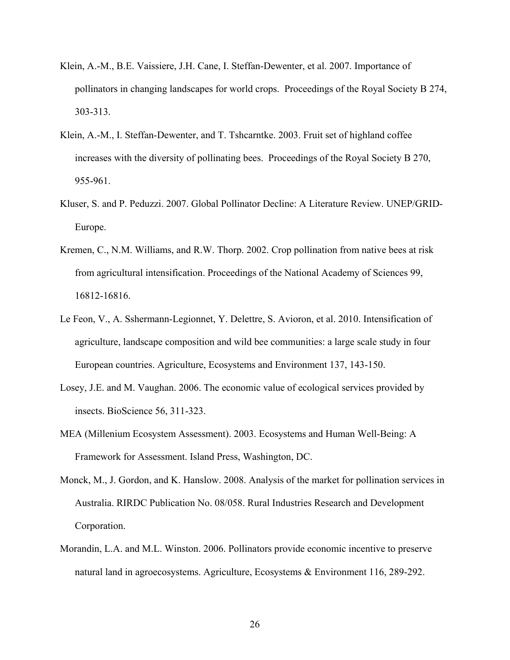- Klein, A.-M., B.E. Vaissiere, J.H. Cane, I. Steffan-Dewenter, et al. 2007. Importance of pollinators in changing landscapes for world crops. Proceedings of the Royal Society B 274, 303-313.
- Klein, A.-M., I. Steffan-Dewenter, and T. Tshcarntke. 2003. Fruit set of highland coffee increases with the diversity of pollinating bees. Proceedings of the Royal Society B 270, 955-961.
- Kluser, S. and P. Peduzzi. 2007. Global Pollinator Decline: A Literature Review. UNEP/GRID-Europe.
- Kremen, C., N.M. Williams, and R.W. Thorp. 2002. Crop pollination from native bees at risk from agricultural intensification. Proceedings of the National Academy of Sciences 99, 16812-16816.
- Le Feon, V., A. Sshermann-Legionnet, Y. Delettre, S. Avioron, et al. 2010. Intensification of agriculture, landscape composition and wild bee communities: a large scale study in four European countries. Agriculture, Ecosystems and Environment 137, 143-150.
- Losey, J.E. and M. Vaughan. 2006. The economic value of ecological services provided by insects. BioScience 56, 311-323.
- MEA (Millenium Ecosystem Assessment). 2003. Ecosystems and Human Well-Being: A Framework for Assessment. Island Press, Washington, DC.
- Monck, M., J. Gordon, and K. Hanslow. 2008. Analysis of the market for pollination services in Australia. RIRDC Publication No. 08/058. Rural Industries Research and Development Corporation.
- Morandin, L.A. and M.L. Winston. 2006. Pollinators provide economic incentive to preserve natural land in agroecosystems. Agriculture, Ecosystems & Environment 116, 289-292.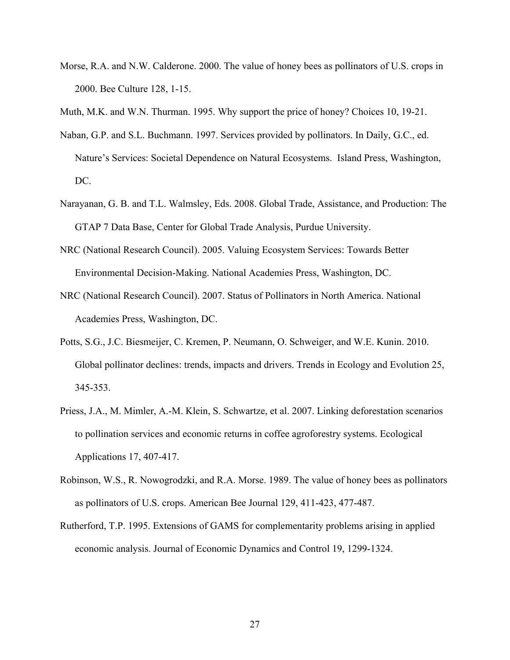- Morse, R.A. and N.W. Calderone. 2000. The value of honey bees as pollinators of U.S. crops in 2000. Bee Culture 128, 1-15.
- Muth, M.K. and W.N. Thurman. 1995. Why support the price of honey? Choices 10, 19-21.
- Naban, G.P. and S.L. Buchmann. 1997. Services provided by pollinators. In Daily, G.C., ed. Nature's Services: Societal Dependence on Natural Ecosystems. Island Press, Washington, DC.
- Narayanan, G. B. and T.L. Walmsley, Eds. 2008. Global Trade, Assistance, and Production: The GTAP 7 Data Base, Center for Global Trade Analysis, Purdue University.
- NRC (National Research Council). 2005. Valuing Ecosystem Services: Towards Better Environmental Decision-Making. National Academies Press, Washington, DC.
- NRC (National Research Council). 2007. Status of Pollinators in North America. National Academies Press, Washington, DC.
- Potts, S.G., J.C. Biesmeijer, C. Kremen, P. Neumann, O. Schweiger, and W.E. Kunin. 2010. Global pollinator declines: trends, impacts and drivers. Trends in Ecology and Evolution 25, 345-353.
- Priess, J.A., M. Mimler, A.-M. Klein, S. Schwartze, et al. 2007. Linking deforestation scenarios to pollination services and economic returns in coffee agroforestry systems. Ecological Applications 17, 407-417.
- Robinson, W.S., R. Nowogrodzki, and R.A. Morse. 1989. The value of honey bees as pollinators as pollinators of U.S. crops. American Bee Journal 129, 411-423, 477-487.
- Rutherford, T.P. 1995. Extensions of GAMS for complementarity problems arising in applied economic analysis. Journal of Economic Dynamics and Control 19, 1299-1324.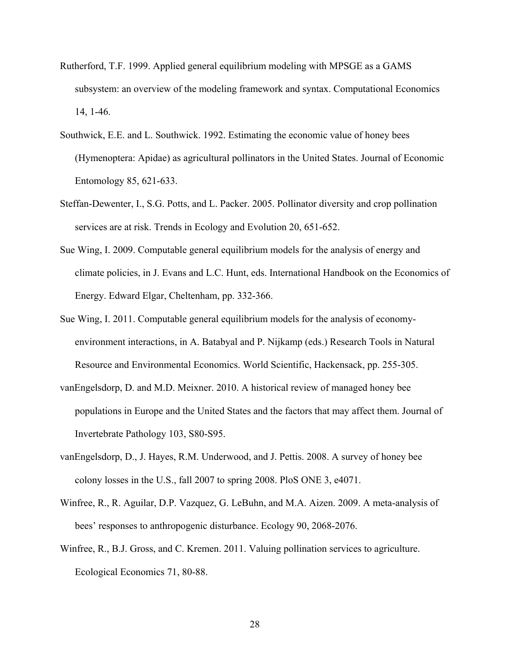- Rutherford, T.F. 1999. Applied general equilibrium modeling with MPSGE as a GAMS subsystem: an overview of the modeling framework and syntax. Computational Economics 14, 1-46.
- Southwick, E.E. and L. Southwick. 1992. Estimating the economic value of honey bees (Hymenoptera: Apidae) as agricultural pollinators in the United States. Journal of Economic Entomology 85, 621-633.
- Steffan-Dewenter, I., S.G. Potts, and L. Packer. 2005. Pollinator diversity and crop pollination services are at risk. Trends in Ecology and Evolution 20, 651-652.
- Sue Wing, I. 2009. Computable general equilibrium models for the analysis of energy and climate policies, in J. Evans and L.C. Hunt, eds. International Handbook on the Economics of Energy. Edward Elgar, Cheltenham, pp. 332-366.
- Sue Wing, I. 2011. Computable general equilibrium models for the analysis of economyenvironment interactions, in A. Batabyal and P. Nijkamp (eds.) Research Tools in Natural Resource and Environmental Economics. World Scientific, Hackensack, pp. 255-305.
- vanEngelsdorp, D. and M.D. Meixner. 2010. A historical review of managed honey bee populations in Europe and the United States and the factors that may affect them. Journal of Invertebrate Pathology 103, S80-S95.
- vanEngelsdorp, D., J. Hayes, R.M. Underwood, and J. Pettis. 2008. A survey of honey bee colony losses in the U.S., fall 2007 to spring 2008. PloS ONE 3, e4071.
- Winfree, R., R. Aguilar, D.P. Vazquez, G. LeBuhn, and M.A. Aizen. 2009. A meta-analysis of bees' responses to anthropogenic disturbance. Ecology 90, 2068-2076.
- Winfree, R., B.J. Gross, and C. Kremen. 2011. Valuing pollination services to agriculture. Ecological Economics 71, 80-88.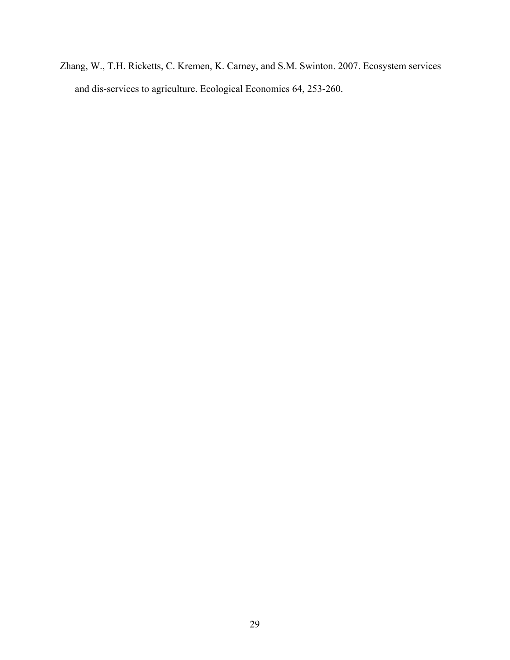Zhang, W., T.H. Ricketts, C. Kremen, K. Carney, and S.M. Swinton. 2007. Ecosystem services and dis-services to agriculture. Ecological Economics 64, 253-260.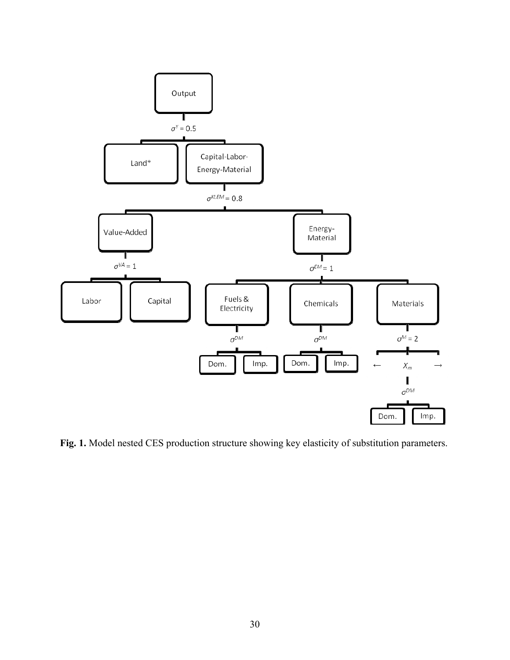

**Fig. 1.** Model nested CES production structure showing key elasticity of substitution parameters.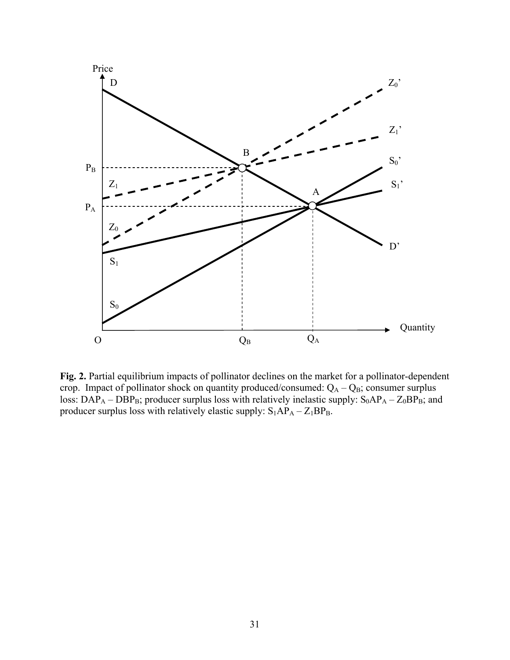

Fig. 2. Partial equilibrium impacts of pollinator declines on the market for a pollinator-dependent crop. Impact of pollinator shock on quantity produced/consumed:  $Q_A - Q_B$ ; consumer surplus loss:  $DAP_A - DBP_B$ ; producer surplus loss with relatively inelastic supply:  $S_0AP_A - Z_0BP_B$ ; and producer surplus loss with relatively elastic supply:  $S_1AP_A - Z_1BP_B$ .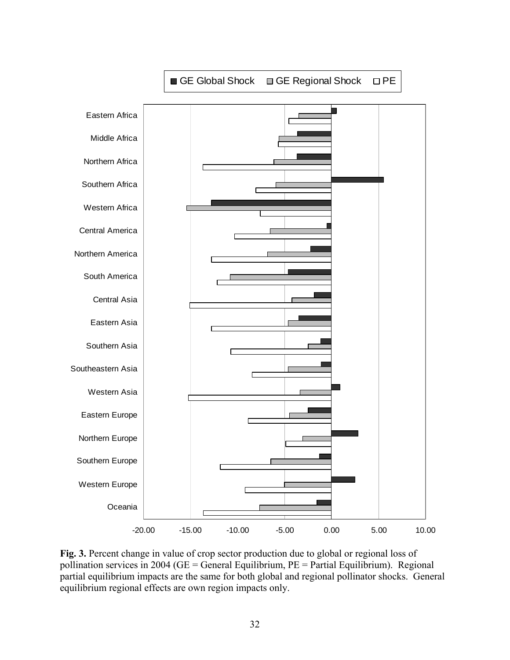

**Fig. 3.** Percent change in value of crop sector production due to global or regional loss of pollination services in 2004 (GE = General Equilibrium, PE = Partial Equilibrium). Regional partial equilibrium impacts are the same for both global and regional pollinator shocks. General equilibrium regional effects are own region impacts only.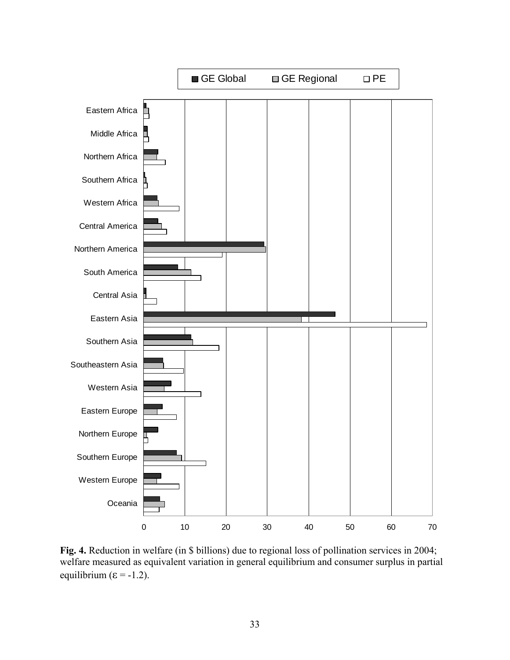

**Fig. 4.** Reduction in welfare (in \$ billions) due to regional loss of pollination services in 2004; welfare measured as equivalent variation in general equilibrium and consumer surplus in partial equilibrium ( $\varepsilon$  = -1.2).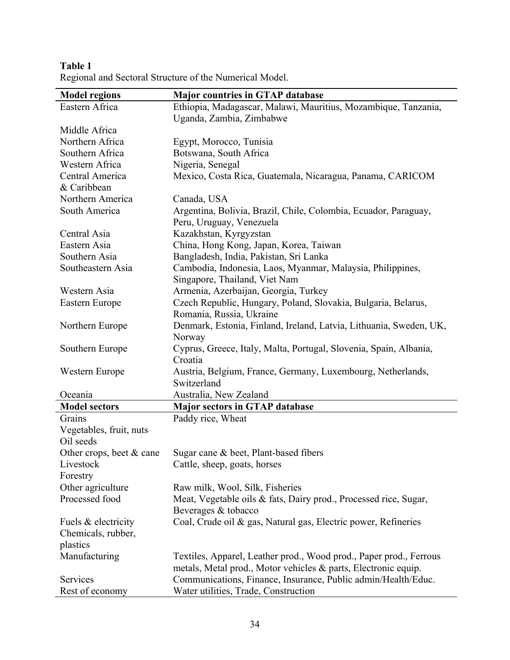| <b>Model regions</b>       | <b>Major countries in GTAP database</b>                            |  |  |  |  |  |
|----------------------------|--------------------------------------------------------------------|--|--|--|--|--|
| Eastern Africa             | Ethiopia, Madagascar, Malawi, Mauritius, Mozambique, Tanzania,     |  |  |  |  |  |
|                            | Uganda, Zambia, Zimbabwe                                           |  |  |  |  |  |
| Middle Africa              |                                                                    |  |  |  |  |  |
| Northern Africa            | Egypt, Morocco, Tunisia                                            |  |  |  |  |  |
| Southern Africa            | Botswana, South Africa                                             |  |  |  |  |  |
| Western Africa             | Nigeria, Senegal                                                   |  |  |  |  |  |
| Central America            | Mexico, Costa Rica, Guatemala, Nicaragua, Panama, CARICOM          |  |  |  |  |  |
| & Caribbean                |                                                                    |  |  |  |  |  |
| Northern America           | Canada, USA                                                        |  |  |  |  |  |
| South America              | Argentina, Bolivia, Brazil, Chile, Colombia, Ecuador, Paraguay,    |  |  |  |  |  |
|                            | Peru, Uruguay, Venezuela                                           |  |  |  |  |  |
| Central Asia               | Kazakhstan, Kyrgyzstan                                             |  |  |  |  |  |
| Eastern Asia               | China, Hong Kong, Japan, Korea, Taiwan                             |  |  |  |  |  |
| Southern Asia              | Bangladesh, India, Pakistan, Sri Lanka                             |  |  |  |  |  |
| Southeastern Asia          | Cambodia, Indonesia, Laos, Myanmar, Malaysia, Philippines,         |  |  |  |  |  |
|                            | Singapore, Thailand, Viet Nam                                      |  |  |  |  |  |
| Western Asia               | Armenia, Azerbaijan, Georgia, Turkey                               |  |  |  |  |  |
| Eastern Europe             | Czech Republic, Hungary, Poland, Slovakia, Bulgaria, Belarus,      |  |  |  |  |  |
|                            | Romania, Russia, Ukraine                                           |  |  |  |  |  |
| Northern Europe            | Denmark, Estonia, Finland, Ireland, Latvia, Lithuania, Sweden, UK, |  |  |  |  |  |
|                            | Norway                                                             |  |  |  |  |  |
| Southern Europe            | Cyprus, Greece, Italy, Malta, Portugal, Slovenia, Spain, Albania,  |  |  |  |  |  |
|                            | Croatia                                                            |  |  |  |  |  |
| Western Europe             | Austria, Belgium, France, Germany, Luxembourg, Netherlands,        |  |  |  |  |  |
|                            | Switzerland                                                        |  |  |  |  |  |
| Oceania                    | Australia, New Zealand                                             |  |  |  |  |  |
| <b>Model sectors</b>       | <b>Major sectors in GTAP database</b>                              |  |  |  |  |  |
| Grains                     | Paddy rice, Wheat                                                  |  |  |  |  |  |
| Vegetables, fruit, nuts    |                                                                    |  |  |  |  |  |
| Oil seeds                  |                                                                    |  |  |  |  |  |
| Other crops, beet $&$ cane | Sugar cane & beet, Plant-based fibers                              |  |  |  |  |  |
| Livestock                  | Cattle, sheep, goats, horses                                       |  |  |  |  |  |
| Forestry                   |                                                                    |  |  |  |  |  |
| Other agriculture          | Raw milk, Wool, Silk, Fisheries                                    |  |  |  |  |  |
| Processed food             | Meat, Vegetable oils & fats, Dairy prod., Processed rice, Sugar,   |  |  |  |  |  |
|                            | Beverages & tobacco                                                |  |  |  |  |  |
| Fuels & electricity        | Coal, Crude oil & gas, Natural gas, Electric power, Refineries     |  |  |  |  |  |
| Chemicals, rubber,         |                                                                    |  |  |  |  |  |
| plastics                   |                                                                    |  |  |  |  |  |
| Manufacturing              | Textiles, Apparel, Leather prod., Wood prod., Paper prod., Ferrous |  |  |  |  |  |
|                            | metals, Metal prod., Motor vehicles & parts, Electronic equip.     |  |  |  |  |  |
| Services                   | Communications, Finance, Insurance, Public admin/Health/Educ.      |  |  |  |  |  |
| Rest of economy            | Water utilities, Trade, Construction                               |  |  |  |  |  |

**Table 1**  Regional and Sectoral Structure of the Numerical Model.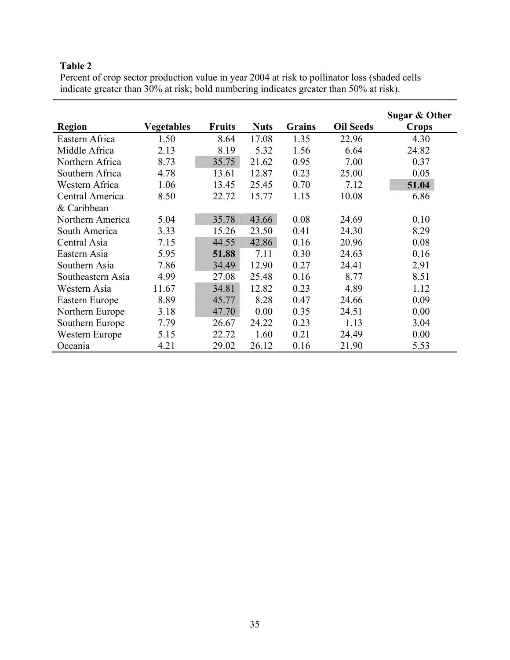Percent of crop sector production value in year 2004 at risk to pollinator loss (shaded cells indicate greater than 30% at risk; bold numbering indicates greater than 50% at risk).

|                   |                   |               |             |               |                  | Sugar & Other |
|-------------------|-------------------|---------------|-------------|---------------|------------------|---------------|
| <b>Region</b>     | <b>Vegetables</b> | <b>Fruits</b> | <b>Nuts</b> | <b>Grains</b> | <b>Oil Seeds</b> | <b>Crops</b>  |
| Eastern Africa    | 1.50              | 8.64          | 17.08       | 1.35          | 22.96            | 4.30          |
| Middle Africa     | 2.13              | 8.19          | 5.32        | 1.56          | 6.64             | 24.82         |
| Northern Africa   | 8.73              | 35.75         | 21.62       | 0.95          | 7.00             | 0.37          |
| Southern Africa   | 4.78              | 13.61         | 12.87       | 0.23          | 25.00            | 0.05          |
| Western Africa    | 1.06              | 13.45         | 25.45       | 0.70          | 7.12             | 51.04         |
| Central America   | 8.50              | 22.72         | 15.77       | 1.15          | 10.08            | 6.86          |
| & Caribbean       |                   |               |             |               |                  |               |
| Northern America  | 5.04              | 35.78         | 43.66       | 0.08          | 24.69            | 0.10          |
| South America     | 3.33              | 15.26         | 23.50       | 0.41          | 24.30            | 8.29          |
| Central Asia      | 7.15              | 44.55         | 42.86       | 0.16          | 20.96            | 0.08          |
| Eastern Asia      | 5.95              | 51.88         | 7.11        | 0.30          | 24.63            | 0.16          |
| Southern Asia     | 7.86              | 34.49         | 12.90       | 0.27          | 24.41            | 2.91          |
| Southeastern Asia | 4.99              | 27.08         | 25.48       | 0.16          | 8.77             | 8.51          |
| Western Asia      | 11.67             | 34.81         | 12.82       | 0.23          | 4.89             | 1.12          |
| Eastern Europe    | 8.89              | 45.77         | 8.28        | 0.47          | 24.66            | 0.09          |
| Northern Europe   | 3.18              | 47.70         | 0.00        | 0.35          | 24.51            | 0.00          |
| Southern Europe   | 7.79              | 26.67         | 24.22       | 0.23          | 1.13             | 3.04          |
| Western Europe    | 5.15              | 22.72         | 1.60        | 0.21          | 24.49            | 0.00          |
| Oceania           | 4.21              | 29.02         | 26.12       | 0.16          | 21.90            | 5.53          |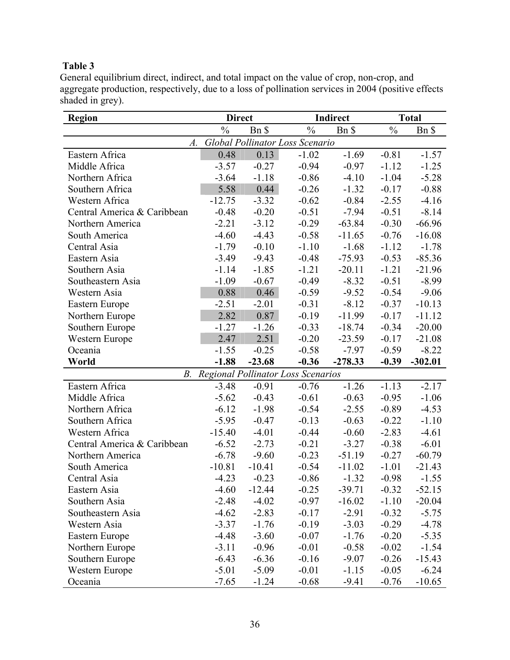General equilibrium direct, indirect, and total impact on the value of crop, non-crop, and aggregate production, respectively, due to a loss of pollination services in 2004 (positive effects shaded in grey).

| <b>Region</b>                         | <b>Direct</b> |          |                                           | Indirect  | <b>Total</b>  |           |  |  |
|---------------------------------------|---------------|----------|-------------------------------------------|-----------|---------------|-----------|--|--|
|                                       | $\frac{0}{0}$ | Bn \$    | $\frac{0}{0}$                             | Bn \$     | $\frac{0}{0}$ | Bn \$     |  |  |
| Global Pollinator Loss Scenario<br>A. |               |          |                                           |           |               |           |  |  |
| Eastern Africa                        | 0.48          | 0.13     | $-1.02$                                   | $-1.69$   | $-0.81$       | $-1.57$   |  |  |
| Middle Africa                         | $-3.57$       | $-0.27$  | $-0.94$                                   | $-0.97$   | $-1.12$       | $-1.25$   |  |  |
| Northern Africa                       | $-3.64$       | $-1.18$  | $-0.86$                                   | $-4.10$   | $-1.04$       | $-5.28$   |  |  |
| Southern Africa                       | 5.58          | 0.44     | $-0.26$                                   | $-1.32$   | $-0.17$       | $-0.88$   |  |  |
| Western Africa                        | $-12.75$      | $-3.32$  | $-0.62$                                   | $-0.84$   | $-2.55$       | $-4.16$   |  |  |
| Central America & Caribbean           | $-0.48$       | $-0.20$  | $-0.51$                                   | $-7.94$   | $-0.51$       | $-8.14$   |  |  |
| Northern America                      | $-2.21$       | $-3.12$  | $-0.29$                                   | $-63.84$  | $-0.30$       | $-66.96$  |  |  |
| South America                         | $-4.60$       | $-4.43$  | $-0.58$                                   | $-11.65$  | $-0.76$       | $-16.08$  |  |  |
| Central Asia                          | $-1.79$       | $-0.10$  | $-1.10$                                   | $-1.68$   | $-1.12$       | $-1.78$   |  |  |
| Eastern Asia                          | $-3.49$       | $-9.43$  | $-0.48$                                   | $-75.93$  | $-0.53$       | $-85.36$  |  |  |
| Southern Asia                         | $-1.14$       | $-1.85$  | $-1.21$                                   | $-20.11$  | $-1.21$       | $-21.96$  |  |  |
| Southeastern Asia                     | $-1.09$       | $-0.67$  | $-0.49$                                   | $-8.32$   | $-0.51$       | $-8.99$   |  |  |
| Western Asia                          | 0.88          | 0.46     | $-0.59$                                   | $-9.52$   | $-0.54$       | $-9.06$   |  |  |
| Eastern Europe                        | $-2.51$       | $-2.01$  | $-0.31$                                   | $-8.12$   | $-0.37$       | $-10.13$  |  |  |
| Northern Europe                       | 2.82          | 0.87     | $-0.19$                                   | $-11.99$  | $-0.17$       | $-11.12$  |  |  |
| Southern Europe                       | $-1.27$       | $-1.26$  | $-0.33$                                   | $-18.74$  | $-0.34$       | $-20.00$  |  |  |
| Western Europe                        | 2.47          | 2.51     | $-0.20$                                   | $-23.59$  | $-0.17$       | $-21.08$  |  |  |
| Oceania                               | $-1.55$       | $-0.25$  | $-0.58$                                   | $-7.97$   | $-0.59$       | $-8.22$   |  |  |
| World                                 | $-1.88$       | $-23.68$ | $-0.36$                                   | $-278.33$ | $-0.39$       | $-302.01$ |  |  |
| В.                                    |               |          | <b>Regional Pollinator Loss Scenarios</b> |           |               |           |  |  |
| Eastern Africa                        | $-3.48$       | $-0.91$  | $-0.76$                                   | $-1.26$   | $-1.13$       | $-2.17$   |  |  |
| Middle Africa                         | $-5.62$       | $-0.43$  | $-0.61$                                   | $-0.63$   | $-0.95$       | $-1.06$   |  |  |
| Northern Africa                       | $-6.12$       | $-1.98$  | $-0.54$                                   | $-2.55$   | $-0.89$       | $-4.53$   |  |  |
| Southern Africa                       | $-5.95$       | $-0.47$  | $-0.13$                                   | $-0.63$   | $-0.22$       | $-1.10$   |  |  |
| Western Africa                        | $-15.40$      | $-4.01$  | $-0.44$                                   | $-0.60$   | $-2.83$       | $-4.61$   |  |  |
| Central America & Caribbean           | $-6.52$       | $-2.73$  | $-0.21$                                   | $-3.27$   | $-0.38$       | $-6.01$   |  |  |
| Northern America                      | $-6.78$       | $-9.60$  | $-0.23$                                   | $-51.19$  | $-0.27$       | $-60.79$  |  |  |
| South America                         | $-10.81$      | $-10.41$ | $-0.54$                                   | $-11.02$  | $-1.01$       | $-21.43$  |  |  |
| Central Asia                          | $-4.23$       | $-0.23$  | $-0.86$                                   | $-1.32$   | $-0.98$       | $-1.55$   |  |  |
| Eastern Asia                          | $-4.60$       | $-12.44$ | $-0.25$                                   | $-39.71$  | $-0.32$       | $-52.15$  |  |  |
| Southern Asia                         | $-2.48$       | $-4.02$  | $-0.97$                                   | $-16.02$  | $-1.10$       | $-20.04$  |  |  |
| Southeastern Asia                     | $-4.62$       | $-2.83$  | $-0.17$                                   | $-2.91$   | $-0.32$       | $-5.75$   |  |  |
| Western Asia                          | $-3.37$       | $-1.76$  | $-0.19$                                   | $-3.03$   | $-0.29$       | $-4.78$   |  |  |
| Eastern Europe                        | $-4.48$       | $-3.60$  | $-0.07$                                   | $-1.76$   | $-0.20$       | $-5.35$   |  |  |
| Northern Europe                       | $-3.11$       | $-0.96$  | $-0.01$                                   | $-0.58$   | $-0.02$       | $-1.54$   |  |  |
| Southern Europe                       | $-6.43$       | $-6.36$  | $-0.16$                                   | $-9.07$   | $-0.26$       | $-15.43$  |  |  |
| Western Europe                        | $-5.01$       | $-5.09$  | $-0.01$                                   | $-1.15$   | $-0.05$       | $-6.24$   |  |  |
| Oceania                               | $-7.65$       | $-1.24$  | $-0.68$                                   | $-9.41$   | $-0.76$       | $-10.65$  |  |  |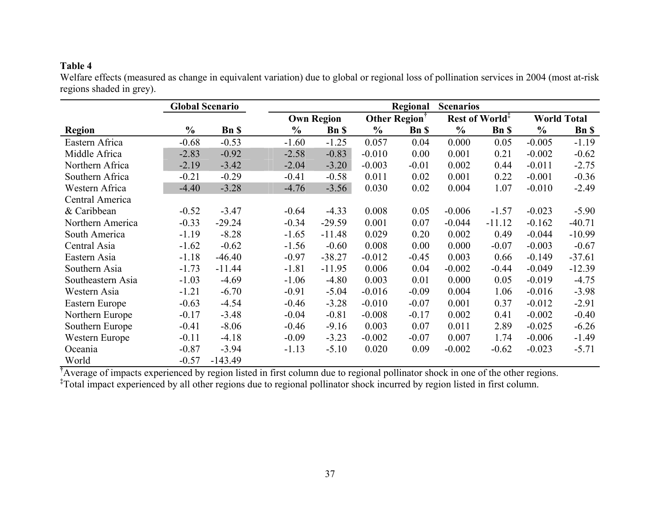Welfare effects (measured as change in equivalent variation) due to global or regional loss of pollination services in 2004 (most at-risk regions shaded in grey).

|                   |               | <b>Global Scenario</b> |               | Regional<br><b>Scenarios</b> |               |                           |               |                            |               |                    |  |
|-------------------|---------------|------------------------|---------------|------------------------------|---------------|---------------------------|---------------|----------------------------|---------------|--------------------|--|
|                   |               |                        |               | <b>Own Region</b>            |               | Other Region <sup>†</sup> |               | Rest of World <sup>‡</sup> |               | <b>World Total</b> |  |
| <b>Region</b>     | $\frac{6}{9}$ | <b>Bn</b> \$           | $\frac{0}{0}$ | <b>Bn</b> \$                 | $\frac{0}{0}$ | <b>Bn</b> \$              | $\frac{0}{0}$ | <b>Bn</b> \$               | $\frac{6}{6}$ | <b>Bn</b> \$       |  |
| Eastern Africa    | $-0.68$       | $-0.53$                | $-1.60$       | $-1.25$                      | 0.057         | 0.04                      | 0.000         | 0.05                       | $-0.005$      | $-1.19$            |  |
| Middle Africa     | $-2.83$       | $-0.92$                | $-2.58$       | $-0.83$                      | $-0.010$      | 0.00                      | 0.001         | 0.21                       | $-0.002$      | $-0.62$            |  |
| Northern Africa   | $-2.19$       | $-3.42$                | $-2.04$       | $-3.20$                      | $-0.003$      | $-0.01$                   | 0.002         | 0.44                       | $-0.011$      | $-2.75$            |  |
| Southern Africa   | $-0.21$       | $-0.29$                | $-0.41$       | $-0.58$                      | 0.011         | 0.02                      | 0.001         | 0.22                       | $-0.001$      | $-0.36$            |  |
| Western Africa    | $-4.40$       | $-3.28$                | $-4.76$       | $-3.56$                      | 0.030         | 0.02                      | 0.004         | 1.07                       | $-0.010$      | $-2.49$            |  |
| Central America   |               |                        |               |                              |               |                           |               |                            |               |                    |  |
| & Caribbean       | $-0.52$       | $-3.47$                | $-0.64$       | $-4.33$                      | 0.008         | 0.05                      | $-0.006$      | $-1.57$                    | $-0.023$      | $-5.90$            |  |
| Northern America  | $-0.33$       | $-29.24$               | $-0.34$       | $-29.59$                     | 0.001         | 0.07                      | $-0.044$      | $-11.12$                   | $-0.162$      | $-40.71$           |  |
| South America     | $-1.19$       | $-8.28$                | $-1.65$       | $-11.48$                     | 0.029         | 0.20                      | 0.002         | 0.49                       | $-0.044$      | $-10.99$           |  |
| Central Asia      | $-1.62$       | $-0.62$                | $-1.56$       | $-0.60$                      | 0.008         | 0.00                      | 0.000         | $-0.07$                    | $-0.003$      | $-0.67$            |  |
| Eastern Asia      | $-1.18$       | $-46.40$               | $-0.97$       | $-38.27$                     | $-0.012$      | $-0.45$                   | 0.003         | 0.66                       | $-0.149$      | $-37.61$           |  |
| Southern Asia     | $-1.73$       | $-11.44$               | $-1.81$       | $-11.95$                     | 0.006         | 0.04                      | $-0.002$      | $-0.44$                    | $-0.049$      | $-12.39$           |  |
| Southeastern Asia | $-1.03$       | $-4.69$                | $-1.06$       | $-4.80$                      | 0.003         | 0.01                      | 0.000         | 0.05                       | $-0.019$      | $-4.75$            |  |
| Western Asia      | $-1.21$       | $-6.70$                | $-0.91$       | $-5.04$                      | $-0.016$      | $-0.09$                   | 0.004         | 1.06                       | $-0.016$      | $-3.98$            |  |
| Eastern Europe    | $-0.63$       | $-4.54$                | $-0.46$       | $-3.28$                      | $-0.010$      | $-0.07$                   | 0.001         | 0.37                       | $-0.012$      | $-2.91$            |  |
| Northern Europe   | $-0.17$       | $-3.48$                | $-0.04$       | $-0.81$                      | $-0.008$      | $-0.17$                   | 0.002         | 0.41                       | $-0.002$      | $-0.40$            |  |
| Southern Europe   | $-0.41$       | $-8.06$                | $-0.46$       | $-9.16$                      | 0.003         | 0.07                      | 0.011         | 2.89                       | $-0.025$      | $-6.26$            |  |
| Western Europe    | $-0.11$       | $-4.18$                | $-0.09$       | $-3.23$                      | $-0.002$      | $-0.07$                   | 0.007         | 1.74                       | $-0.006$      | $-1.49$            |  |
| Oceania           | $-0.87$       | $-3.94$                | $-1.13$       | $-5.10$                      | 0.020         | 0.09                      | $-0.002$      | $-0.62$                    | $-0.023$      | $-5.71$            |  |
| World             | $-0.57$       | $-143.49$              |               |                              |               |                           |               |                            |               |                    |  |

**†**Average of impacts experienced by region listed in first column due to regional pollinator shock in one of the other regions.

**‡**Total impact experienced by all other regions due to regional pollinator shock incurred by region listed in first column.